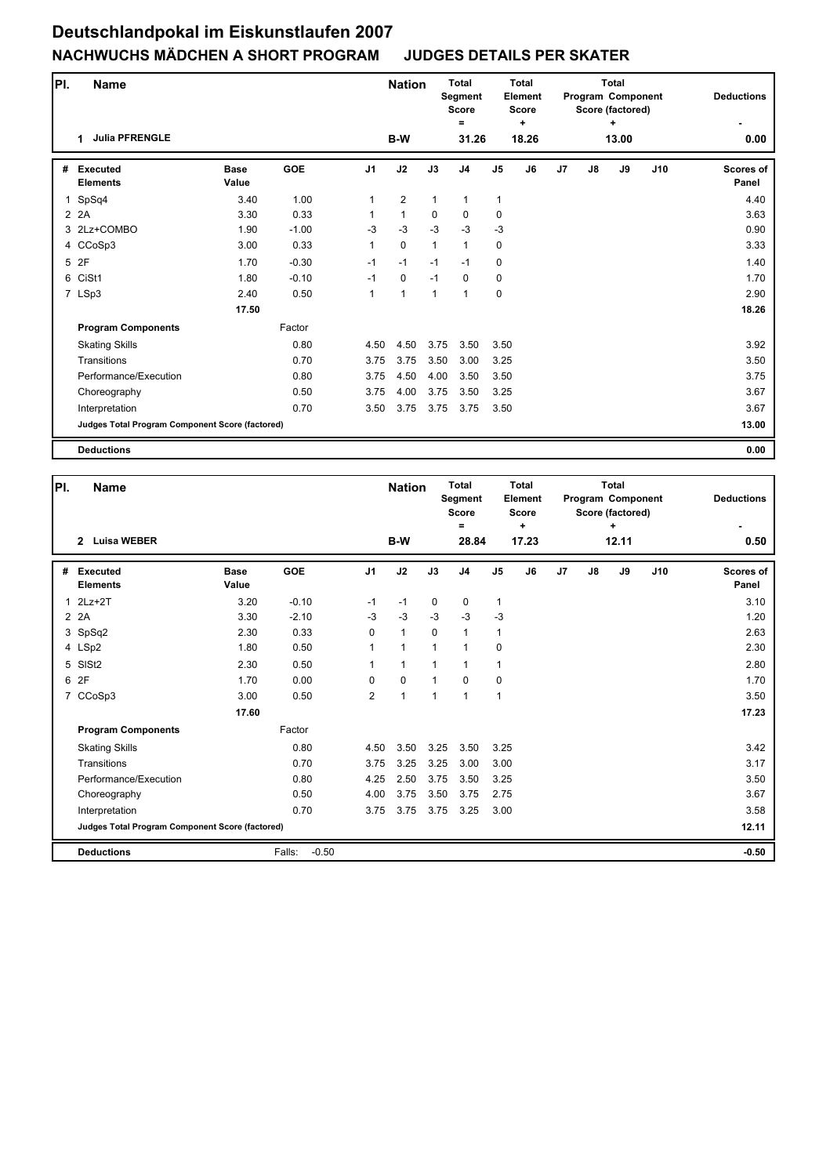| PI.         | <b>Name</b>                                     |                      |            |                | <b>Nation</b>  |              | <b>Total</b><br>Segment<br><b>Score</b> |                | Total<br>Element<br><b>Score</b> |                |    | <b>Total</b><br><b>Program Component</b><br>Score (factored) |     | <b>Deductions</b>  |
|-------------|-------------------------------------------------|----------------------|------------|----------------|----------------|--------------|-----------------------------------------|----------------|----------------------------------|----------------|----|--------------------------------------------------------------|-----|--------------------|
|             | <b>Julia PFRENGLE</b><br>1                      |                      |            |                | B-W            |              | =<br>31.26                              |                | ÷<br>18.26                       |                |    | ٠<br>13.00                                                   |     | 0.00               |
| #           | <b>Executed</b><br><b>Elements</b>              | <b>Base</b><br>Value | <b>GOE</b> | J <sub>1</sub> | J2             | J3           | J <sub>4</sub>                          | J <sub>5</sub> | J6                               | J <sub>7</sub> | J8 | J9                                                           | J10 | Scores of<br>Panel |
| $\mathbf 1$ | SpSq4                                           | 3.40                 | 1.00       | 1              | $\overline{2}$ | $\mathbf{1}$ | $\mathbf{1}$                            | $\mathbf{1}$   |                                  |                |    |                                                              |     | 4.40               |
|             | 2 2A                                            | 3.30                 | 0.33       | 1              | $\mathbf{1}$   | $\mathbf 0$  | $\mathbf 0$                             | $\mathbf 0$    |                                  |                |    |                                                              |     | 3.63               |
|             | 3 2Lz+COMBO                                     | 1.90                 | $-1.00$    | $-3$           | $-3$           | $-3$         | $-3$                                    | $-3$           |                                  |                |    |                                                              |     | 0.90               |
|             | 4 CCoSp3                                        | 3.00                 | 0.33       | 1              | $\pmb{0}$      | $\mathbf{1}$ | $\mathbf{1}$                            | 0              |                                  |                |    |                                                              |     | 3.33               |
|             | 5 2F                                            | 1.70                 | $-0.30$    | $-1$           | $-1$           | $-1$         | $-1$                                    | 0              |                                  |                |    |                                                              |     | 1.40               |
|             | 6 CiSt1                                         | 1.80                 | $-0.10$    | $-1$           | $\mathbf 0$    | $-1$         | $\mathbf 0$                             | 0              |                                  |                |    |                                                              |     | 1.70               |
|             | 7 LSp3                                          | 2.40                 | 0.50       | 1              | $\mathbf{1}$   | $\mathbf{1}$ | $\mathbf{1}$                            | 0              |                                  |                |    |                                                              |     | 2.90               |
|             |                                                 | 17.50                |            |                |                |              |                                         |                |                                  |                |    |                                                              |     | 18.26              |
|             | <b>Program Components</b>                       |                      | Factor     |                |                |              |                                         |                |                                  |                |    |                                                              |     |                    |
|             | <b>Skating Skills</b>                           |                      | 0.80       | 4.50           | 4.50           | 3.75         | 3.50                                    | 3.50           |                                  |                |    |                                                              |     | 3.92               |
|             | Transitions                                     |                      | 0.70       | 3.75           | 3.75           | 3.50         | 3.00                                    | 3.25           |                                  |                |    |                                                              |     | 3.50               |
|             | Performance/Execution                           |                      | 0.80       | 3.75           | 4.50           | 4.00         | 3.50                                    | 3.50           |                                  |                |    |                                                              |     | 3.75               |
|             | Choreography                                    |                      | 0.50       | 3.75           | 4.00           | 3.75         | 3.50                                    | 3.25           |                                  |                |    |                                                              |     | 3.67               |
|             | Interpretation                                  |                      | 0.70       | 3.50           | 3.75           | 3.75         | 3.75                                    | 3.50           |                                  |                |    |                                                              |     | 3.67               |
|             | Judges Total Program Component Score (factored) |                      |            |                |                |              |                                         |                |                                  |                |    |                                                              |     | 13.00              |
|             | <b>Deductions</b>                               |                      |            |                |                |              |                                         |                |                                  |                |    |                                                              |     | 0.00               |

| PI. | <b>Name</b>                                            |                      |                   |                | <b>Nation</b> |             | <b>Total</b><br>Segment<br><b>Score</b><br>$\equiv$ |                | <b>Total</b><br>Element<br><b>Score</b><br>$\ddot{}$ |                |    | Total<br>Program Component<br>Score (factored)<br>÷ |     | <b>Deductions</b>         |
|-----|--------------------------------------------------------|----------------------|-------------------|----------------|---------------|-------------|-----------------------------------------------------|----------------|------------------------------------------------------|----------------|----|-----------------------------------------------------|-----|---------------------------|
|     | <b>Luisa WEBER</b><br>$\overline{2}$                   |                      |                   |                | B-W           |             | 28.84                                               |                | 17.23                                                |                |    | 12.11                                               |     | 0.50                      |
| #   | <b>Executed</b><br><b>Elements</b>                     | <b>Base</b><br>Value | <b>GOE</b>        | J <sub>1</sub> | J2            | J3          | J <sub>4</sub>                                      | J <sub>5</sub> | J6                                                   | J <sub>7</sub> | J8 | J9                                                  | J10 | <b>Scores of</b><br>Panel |
| 1   | $2Lz+2T$                                               | 3.20                 | $-0.10$           | $-1$           | $-1$          | $\mathbf 0$ | 0                                                   | $\mathbf{1}$   |                                                      |                |    |                                                     |     | 3.10                      |
|     | 2 2A                                                   | 3.30                 | $-2.10$           | $-3$           | $-3$          | $-3$        | $-3$                                                | $-3$           |                                                      |                |    |                                                     |     | 1.20                      |
|     | 3 SpSq2                                                | 2.30                 | 0.33              | 0              | $\mathbf{1}$  | $\mathbf 0$ | $\mathbf{1}$                                        | $\mathbf{1}$   |                                                      |                |    |                                                     |     | 2.63                      |
|     | 4 LSp2                                                 | 1.80                 | 0.50              | 1              | 1             | 1           | $\mathbf{1}$                                        | $\mathbf 0$    |                                                      |                |    |                                                     |     | 2.30                      |
|     | 5 SISt2                                                | 2.30                 | 0.50              | $\mathbf{1}$   | $\mathbf{1}$  | 1           | 1                                                   | $\mathbf{1}$   |                                                      |                |    |                                                     |     | 2.80                      |
|     | 6 2F                                                   | 1.70                 | 0.00              | 0              | $\mathbf 0$   | $\mathbf 1$ | $\Omega$                                            | $\mathbf 0$    |                                                      |                |    |                                                     |     | 1.70                      |
|     | 7 CCoSp3                                               | 3.00                 | 0.50              | $\overline{2}$ | $\mathbf{1}$  | $\mathbf 1$ | 1                                                   | $\mathbf{1}$   |                                                      |                |    |                                                     |     | 3.50                      |
|     |                                                        | 17.60                |                   |                |               |             |                                                     |                |                                                      |                |    |                                                     |     | 17.23                     |
|     | <b>Program Components</b>                              |                      | Factor            |                |               |             |                                                     |                |                                                      |                |    |                                                     |     |                           |
|     | <b>Skating Skills</b>                                  |                      | 0.80              | 4.50           | 3.50          | 3.25        | 3.50                                                | 3.25           |                                                      |                |    |                                                     |     | 3.42                      |
|     | Transitions                                            |                      | 0.70              | 3.75           | 3.25          | 3.25        | 3.00                                                | 3.00           |                                                      |                |    |                                                     |     | 3.17                      |
|     | Performance/Execution                                  |                      | 0.80              | 4.25           | 2.50          | 3.75        | 3.50                                                | 3.25           |                                                      |                |    |                                                     |     | 3.50                      |
|     | Choreography                                           |                      | 0.50              | 4.00           | 3.75          | 3.50        | 3.75                                                | 2.75           |                                                      |                |    |                                                     |     | 3.67                      |
|     | Interpretation                                         |                      | 0.70              | 3.75           | 3.75          | 3.75        | 3.25                                                | 3.00           |                                                      |                |    |                                                     |     | 3.58                      |
|     | <b>Judges Total Program Component Score (factored)</b> |                      |                   |                |               |             |                                                     |                |                                                      |                |    |                                                     |     | 12.11                     |
|     | <b>Deductions</b>                                      |                      | $-0.50$<br>Falls: |                |               |             |                                                     |                |                                                      |                |    |                                                     |     | $-0.50$                   |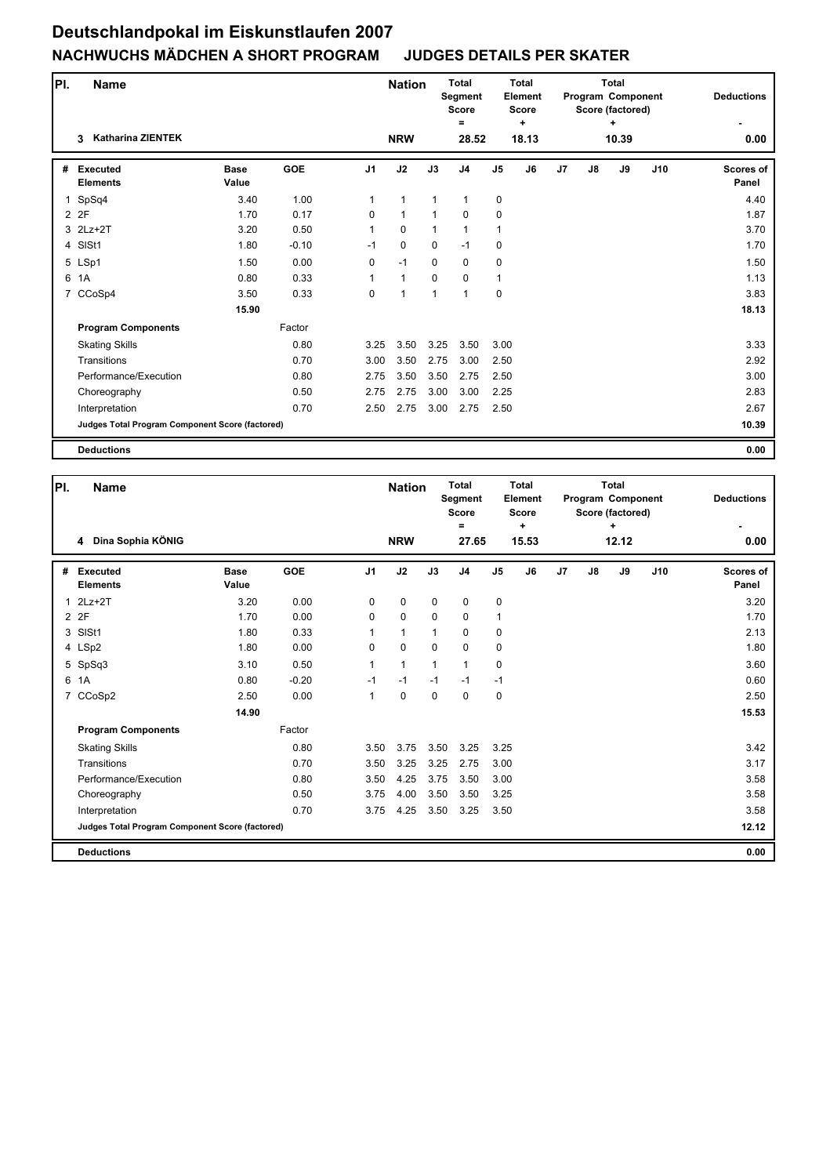| PI. | Name                                            |                      |            |                | <b>Nation</b> |              | <b>Total</b><br>Segment<br><b>Score</b> |                | <b>Total</b><br>Element<br><b>Score</b> |                |    | <b>Total</b><br><b>Program Component</b><br>Score (factored) |     | <b>Deductions</b>  |
|-----|-------------------------------------------------|----------------------|------------|----------------|---------------|--------------|-----------------------------------------|----------------|-----------------------------------------|----------------|----|--------------------------------------------------------------|-----|--------------------|
|     | <b>Katharina ZIENTEK</b><br>3                   |                      |            |                | <b>NRW</b>    |              | =<br>28.52                              |                | ÷<br>18.13                              |                |    | ٠<br>10.39                                                   |     | 0.00               |
| #   | <b>Executed</b><br><b>Elements</b>              | <b>Base</b><br>Value | <b>GOE</b> | J <sub>1</sub> | J2            | J3           | J <sub>4</sub>                          | J <sub>5</sub> | J6                                      | J <sub>7</sub> | J8 | J9                                                           | J10 | Scores of<br>Panel |
| 1   | SpSq4                                           | 3.40                 | 1.00       | 1              | $\mathbf{1}$  | $\mathbf{1}$ | $\mathbf{1}$                            | $\mathbf 0$    |                                         |                |    |                                                              |     | 4.40               |
|     | 2 2F                                            | 1.70                 | 0.17       | 0              | $\mathbf{1}$  | $\mathbf{1}$ | $\mathbf 0$                             | $\mathbf 0$    |                                         |                |    |                                                              |     | 1.87               |
|     | 3 2Lz+2T                                        | 3.20                 | 0.50       | 1              | $\mathbf 0$   | $\mathbf{1}$ | $\mathbf{1}$                            | 1              |                                         |                |    |                                                              |     | 3.70               |
|     | 4 SISt1                                         | 1.80                 | $-0.10$    | $-1$           | 0             | $\mathbf 0$  | $-1$                                    | 0              |                                         |                |    |                                                              |     | 1.70               |
|     | 5 LSp1                                          | 1.50                 | 0.00       | 0              | $-1$          | $\mathbf 0$  | $\mathbf 0$                             | $\mathbf 0$    |                                         |                |    |                                                              |     | 1.50               |
| 6   | 1A                                              | 0.80                 | 0.33       | 1              | $\mathbf{1}$  | $\mathbf 0$  | 0                                       | $\mathbf{1}$   |                                         |                |    |                                                              |     | 1.13               |
|     | 7 CCoSp4                                        | 3.50                 | 0.33       | 0              | 1             | 1            | 1                                       | 0              |                                         |                |    |                                                              |     | 3.83               |
|     |                                                 | 15.90                |            |                |               |              |                                         |                |                                         |                |    |                                                              |     | 18.13              |
|     | <b>Program Components</b>                       |                      | Factor     |                |               |              |                                         |                |                                         |                |    |                                                              |     |                    |
|     | <b>Skating Skills</b>                           |                      | 0.80       | 3.25           | 3.50          | 3.25         | 3.50                                    | 3.00           |                                         |                |    |                                                              |     | 3.33               |
|     | Transitions                                     |                      | 0.70       | 3.00           | 3.50          | 2.75         | 3.00                                    | 2.50           |                                         |                |    |                                                              |     | 2.92               |
|     | Performance/Execution                           |                      | 0.80       | 2.75           | 3.50          | 3.50         | 2.75                                    | 2.50           |                                         |                |    |                                                              |     | 3.00               |
|     | Choreography                                    |                      | 0.50       | 2.75           | 2.75          | 3.00         | 3.00                                    | 2.25           |                                         |                |    |                                                              |     | 2.83               |
|     | Interpretation                                  |                      | 0.70       | 2.50           | 2.75          | 3.00         | 2.75                                    | 2.50           |                                         |                |    |                                                              |     | 2.67               |
|     | Judges Total Program Component Score (factored) |                      |            |                |               |              |                                         |                |                                         |                |    |                                                              |     | 10.39              |
|     | <b>Deductions</b>                               |                      |            |                |               |              |                                         |                |                                         |                |    |                                                              |     | 0.00               |

| PI.          | <b>Name</b>                                     |                      |            |                | <b>Nation</b> |              | <b>Total</b><br>Segment<br><b>Score</b><br>Ξ |                | Total<br>Element<br><b>Score</b><br>÷ |                |    | Total<br>Program Component<br>Score (factored)<br>÷ |     | <b>Deductions</b>         |
|--------------|-------------------------------------------------|----------------------|------------|----------------|---------------|--------------|----------------------------------------------|----------------|---------------------------------------|----------------|----|-----------------------------------------------------|-----|---------------------------|
|              | 4 Dina Sophia KÖNIG                             |                      |            |                | <b>NRW</b>    |              | 27.65                                        |                | 15.53                                 |                |    | 12.12                                               |     | 0.00                      |
| #            | <b>Executed</b><br><b>Elements</b>              | <b>Base</b><br>Value | <b>GOE</b> | J <sub>1</sub> | J2            | J3           | J <sub>4</sub>                               | J <sub>5</sub> | J6                                    | J <sub>7</sub> | J8 | J9                                                  | J10 | <b>Scores of</b><br>Panel |
| $\mathbf{1}$ | $2Lz+2T$                                        | 3.20                 | 0.00       | $\mathbf 0$    | 0             | $\mathbf 0$  | $\mathbf 0$                                  | $\pmb{0}$      |                                       |                |    |                                                     |     | 3.20                      |
|              | 2 2F                                            | 1.70                 | 0.00       | 0              | 0             | $\mathbf 0$  | 0                                            | 1              |                                       |                |    |                                                     |     | 1.70                      |
|              | 3 SISt1                                         | 1.80                 | 0.33       | 1              | $\mathbf{1}$  | $\mathbf 1$  | 0                                            | $\mathbf 0$    |                                       |                |    |                                                     |     | 2.13                      |
|              | 4 LSp2                                          | 1.80                 | 0.00       | 0              | $\mathbf 0$   | $\Omega$     | 0                                            | 0              |                                       |                |    |                                                     |     | 1.80                      |
|              | 5 SpSq3                                         | 3.10                 | 0.50       | 1              | $\mathbf{1}$  | $\mathbf{1}$ | 1                                            | 0              |                                       |                |    |                                                     |     | 3.60                      |
| 6            | 1A                                              | 0.80                 | $-0.20$    | $-1$           | $-1$          | $-1$         | $-1$                                         | $-1$           |                                       |                |    |                                                     |     | 0.60                      |
|              | 7 CCoSp2                                        | 2.50                 | 0.00       | $\mathbf{1}$   | $\mathbf 0$   | $\Omega$     | $\mathbf{0}$                                 | $\mathbf 0$    |                                       |                |    |                                                     |     | 2.50                      |
|              |                                                 | 14.90                |            |                |               |              |                                              |                |                                       |                |    |                                                     |     | 15.53                     |
|              | <b>Program Components</b>                       |                      | Factor     |                |               |              |                                              |                |                                       |                |    |                                                     |     |                           |
|              | <b>Skating Skills</b>                           |                      | 0.80       | 3.50           | 3.75          | 3.50         | 3.25                                         | 3.25           |                                       |                |    |                                                     |     | 3.42                      |
|              | Transitions                                     |                      | 0.70       | 3.50           | 3.25          | 3.25         | 2.75                                         | 3.00           |                                       |                |    |                                                     |     | 3.17                      |
|              | Performance/Execution                           |                      | 0.80       | 3.50           | 4.25          | 3.75         | 3.50                                         | 3.00           |                                       |                |    |                                                     |     | 3.58                      |
|              | Choreography                                    |                      | 0.50       | 3.75           | 4.00          | 3.50         | 3.50                                         | 3.25           |                                       |                |    |                                                     |     | 3.58                      |
|              | Interpretation                                  |                      | 0.70       | 3.75           | 4.25          | 3.50         | 3.25                                         | 3.50           |                                       |                |    |                                                     |     | 3.58                      |
|              | Judges Total Program Component Score (factored) |                      |            |                |               |              |                                              |                |                                       |                |    |                                                     |     | 12.12                     |
|              | <b>Deductions</b>                               |                      |            |                |               |              |                                              |                |                                       |                |    |                                                     |     | 0.00                      |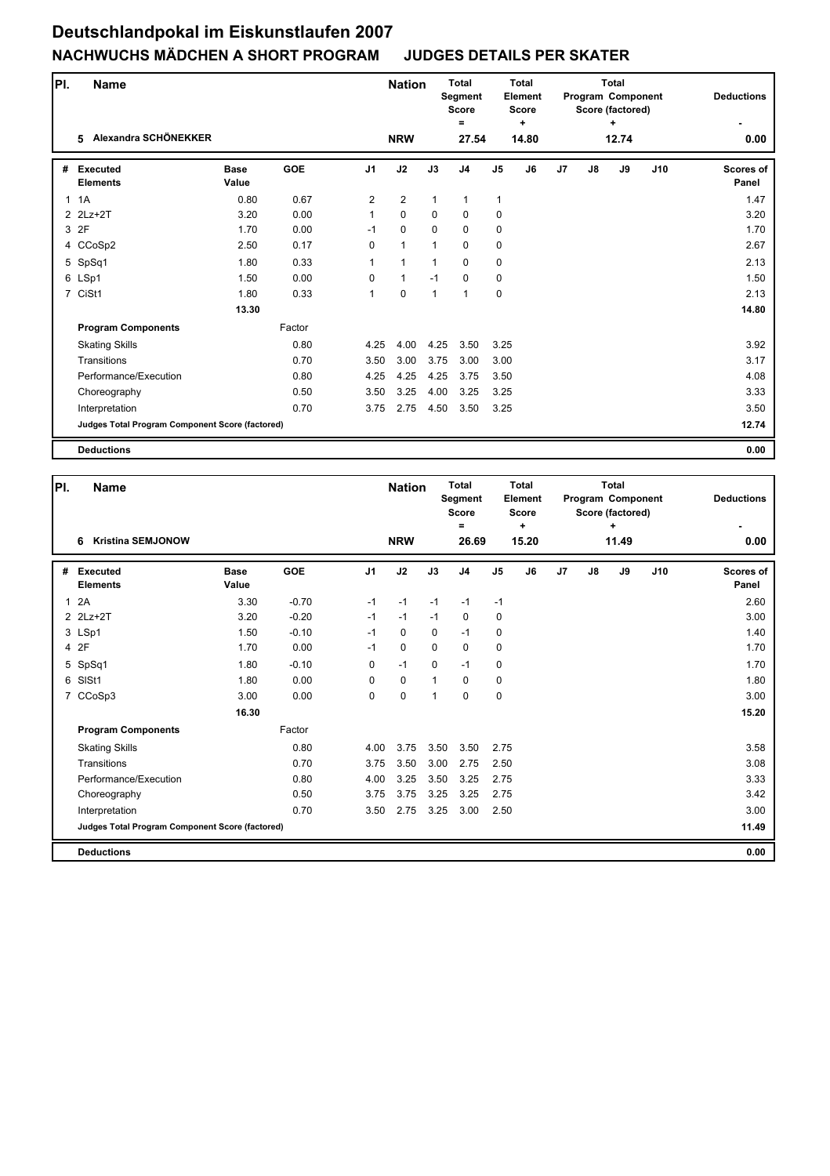| PI. | Name                                            |                      |            |                | <b>Nation</b>  |              | <b>Total</b><br>Segment<br><b>Score</b> |                | <b>Total</b><br>Element<br><b>Score</b> |                |               | <b>Total</b><br>Program Component<br>Score (factored) |     | <b>Deductions</b>         |
|-----|-------------------------------------------------|----------------------|------------|----------------|----------------|--------------|-----------------------------------------|----------------|-----------------------------------------|----------------|---------------|-------------------------------------------------------|-----|---------------------------|
|     | Alexandra SCHÖNEKKER<br>5                       |                      |            |                | <b>NRW</b>     |              | $=$<br>27.54                            |                | ÷<br>14.80                              |                |               | ÷<br>12.74                                            |     | 0.00                      |
| #   | <b>Executed</b><br><b>Elements</b>              | <b>Base</b><br>Value | <b>GOE</b> | J <sub>1</sub> | J2             | J3           | J <sub>4</sub>                          | J <sub>5</sub> | J6                                      | J <sub>7</sub> | $\mathsf{J}8$ | J9                                                    | J10 | <b>Scores of</b><br>Panel |
|     | 1.1A                                            | 0.80                 | 0.67       | 2              | $\overline{2}$ | $\mathbf{1}$ | $\mathbf{1}$                            | 1              |                                         |                |               |                                                       |     | 1.47                      |
|     | 2 2Lz+2T                                        | 3.20                 | 0.00       | $\mathbf{1}$   | $\mathbf 0$    | $\Omega$     | $\mathbf 0$                             | $\mathbf 0$    |                                         |                |               |                                                       |     | 3.20                      |
|     | 3 2F                                            | 1.70                 | 0.00       | $-1$           | $\mathbf 0$    | $\mathbf 0$  | $\mathbf 0$                             | $\mathbf 0$    |                                         |                |               |                                                       |     | 1.70                      |
|     | 4 CCoSp2                                        | 2.50                 | 0.17       | 0              | $\mathbf{1}$   | $\mathbf{1}$ | $\mathbf 0$                             | 0              |                                         |                |               |                                                       |     | 2.67                      |
|     | 5 SpSq1                                         | 1.80                 | 0.33       | 1              | $\mathbf{1}$   | 1            | 0                                       | 0              |                                         |                |               |                                                       |     | 2.13                      |
|     | 6 LSp1                                          | 1.50                 | 0.00       | 0              | $\mathbf{1}$   | $-1$         | 0                                       | 0              |                                         |                |               |                                                       |     | 1.50                      |
|     | 7 CiSt1                                         | 1.80                 | 0.33       | $\mathbf{1}$   | $\pmb{0}$      | 1            | $\overline{1}$                          | 0              |                                         |                |               |                                                       |     | 2.13                      |
|     |                                                 | 13.30                |            |                |                |              |                                         |                |                                         |                |               |                                                       |     | 14.80                     |
|     | <b>Program Components</b>                       |                      | Factor     |                |                |              |                                         |                |                                         |                |               |                                                       |     |                           |
|     | <b>Skating Skills</b>                           |                      | 0.80       | 4.25           | 4.00           | 4.25         | 3.50                                    | 3.25           |                                         |                |               |                                                       |     | 3.92                      |
|     | Transitions                                     |                      | 0.70       | 3.50           | 3.00           | 3.75         | 3.00                                    | 3.00           |                                         |                |               |                                                       |     | 3.17                      |
|     | Performance/Execution                           |                      | 0.80       | 4.25           | 4.25           | 4.25         | 3.75                                    | 3.50           |                                         |                |               |                                                       |     | 4.08                      |
|     | Choreography                                    |                      | 0.50       | 3.50           | 3.25           | 4.00         | 3.25                                    | 3.25           |                                         |                |               |                                                       |     | 3.33                      |
|     | Interpretation                                  |                      | 0.70       | 3.75           | 2.75           | 4.50         | 3.50                                    | 3.25           |                                         |                |               |                                                       |     | 3.50                      |
|     | Judges Total Program Component Score (factored) |                      |            |                |                |              |                                         |                |                                         |                |               |                                                       |     | 12.74                     |
|     | <b>Deductions</b>                               |                      |            |                |                |              |                                         |                |                                         |                |               |                                                       |     | 0.00                      |

| PI.          | <b>Name</b>                                     |                      |            |                | <b>Nation</b> |              | Total<br>Segment<br><b>Score</b> |                | Total<br>Element<br><b>Score</b> |                |    | Total<br>Program Component<br>Score (factored) |     | <b>Deductions</b>         |
|--------------|-------------------------------------------------|----------------------|------------|----------------|---------------|--------------|----------------------------------|----------------|----------------------------------|----------------|----|------------------------------------------------|-----|---------------------------|
|              | <b>Kristina SEMJONOW</b><br>6                   |                      |            |                | <b>NRW</b>    |              | $=$<br>26.69                     |                | $\ddot{}$<br>15.20               |                |    | $\ddot{}$<br>11.49                             |     | 0.00                      |
| #            | <b>Executed</b><br><b>Elements</b>              | <b>Base</b><br>Value | <b>GOE</b> | J <sub>1</sub> | J2            | J3           | J <sub>4</sub>                   | J <sub>5</sub> | J6                               | J <sub>7</sub> | J8 | J9                                             | J10 | <b>Scores of</b><br>Panel |
| $\mathbf{1}$ | 2A                                              | 3.30                 | $-0.70$    | $-1$           | $-1$          | $-1$         | $-1$                             | $-1$           |                                  |                |    |                                                |     | 2.60                      |
|              | 2 2Lz+2T                                        | 3.20                 | $-0.20$    | $-1$           | $-1$          | $-1$         | 0                                | 0              |                                  |                |    |                                                |     | 3.00                      |
|              | 3 LSp1                                          | 1.50                 | $-0.10$    | $-1$           | $\mathbf 0$   | $\mathbf 0$  | $-1$                             | $\mathbf 0$    |                                  |                |    |                                                |     | 1.40                      |
|              | 4 2F                                            | 1.70                 | 0.00       | $-1$           | 0             | $\Omega$     | $\mathbf 0$                      | 0              |                                  |                |    |                                                |     | 1.70                      |
|              | 5 SpSq1                                         | 1.80                 | $-0.10$    | 0              | $-1$          | $\mathbf 0$  | $-1$                             | $\mathbf 0$    |                                  |                |    |                                                |     | 1.70                      |
|              | 6 SISt1                                         | 1.80                 | 0.00       | 0              | $\mathbf 0$   | $\mathbf{1}$ | $\mathbf 0$                      | $\mathbf 0$    |                                  |                |    |                                                |     | 1.80                      |
|              | 7 CCoSp3                                        | 3.00                 | 0.00       | 0              | 0             | $\mathbf{1}$ | $\Omega$                         | $\mathbf 0$    |                                  |                |    |                                                |     | 3.00                      |
|              |                                                 | 16.30                |            |                |               |              |                                  |                |                                  |                |    |                                                |     | 15.20                     |
|              | <b>Program Components</b>                       |                      | Factor     |                |               |              |                                  |                |                                  |                |    |                                                |     |                           |
|              | <b>Skating Skills</b>                           |                      | 0.80       | 4.00           | 3.75          | 3.50         | 3.50                             | 2.75           |                                  |                |    |                                                |     | 3.58                      |
|              | Transitions                                     |                      | 0.70       | 3.75           | 3.50          | 3.00         | 2.75                             | 2.50           |                                  |                |    |                                                |     | 3.08                      |
|              | Performance/Execution                           |                      | 0.80       | 4.00           | 3.25          | 3.50         | 3.25                             | 2.75           |                                  |                |    |                                                |     | 3.33                      |
|              | Choreography                                    |                      | 0.50       | 3.75           | 3.75          | 3.25         | 3.25                             | 2.75           |                                  |                |    |                                                |     | 3.42                      |
|              | Interpretation                                  |                      | 0.70       | 3.50           | 2.75          | 3.25         | 3.00                             | 2.50           |                                  |                |    |                                                |     | 3.00                      |
|              | Judges Total Program Component Score (factored) |                      |            |                |               |              |                                  |                |                                  |                |    |                                                |     | 11.49                     |
|              | <b>Deductions</b>                               |                      |            |                |               |              |                                  |                |                                  |                |    |                                                |     | 0.00                      |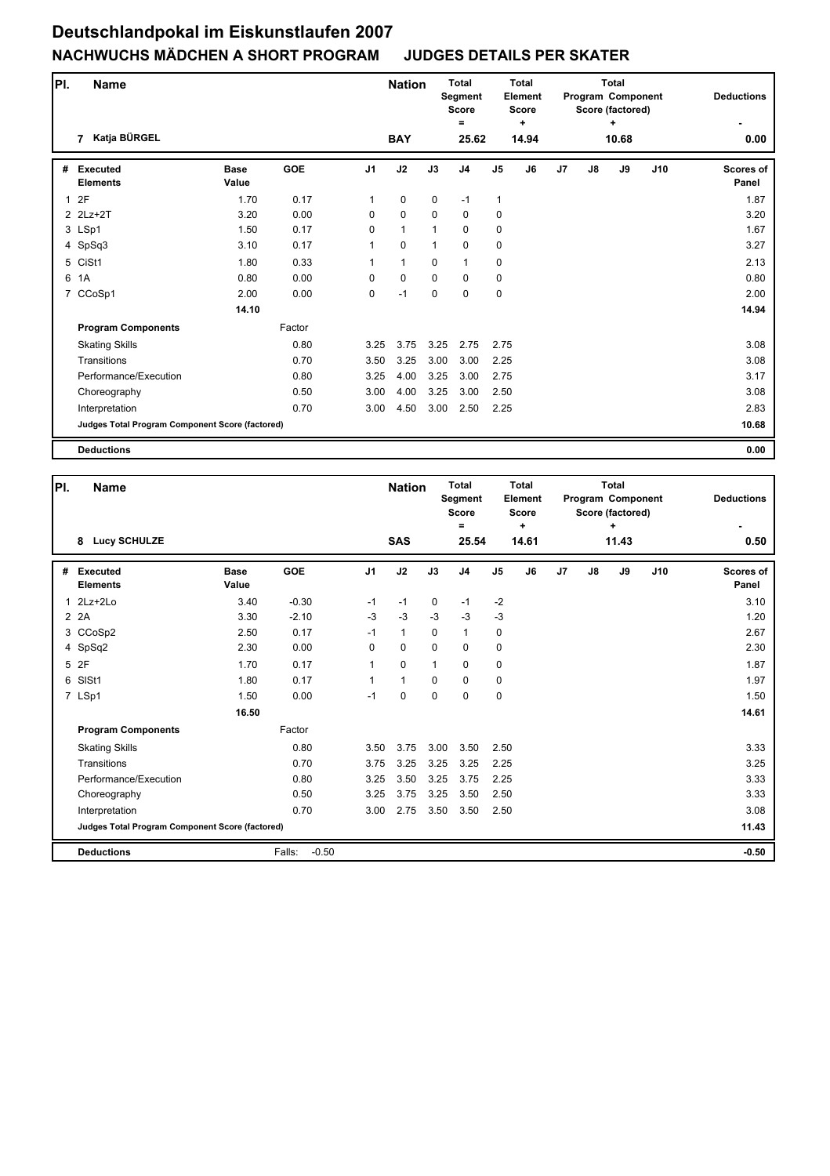| PI.          |                | <b>Name</b>                                     |                      |            |                | <b>Nation</b> |              | <b>Total</b><br>Segment<br><b>Score</b><br>Ξ |                | <b>Total</b><br><b>Element</b><br><b>Score</b><br>÷ |                |    | <b>Total</b><br>Program Component<br>Score (factored)<br>٠ |     | <b>Deductions</b>         |
|--------------|----------------|-------------------------------------------------|----------------------|------------|----------------|---------------|--------------|----------------------------------------------|----------------|-----------------------------------------------------|----------------|----|------------------------------------------------------------|-----|---------------------------|
|              | $\overline{7}$ | Katja BÜRGEL                                    |                      |            |                | <b>BAY</b>    |              | 25.62                                        |                | 14.94                                               |                |    | 10.68                                                      |     | 0.00                      |
| #            |                | <b>Executed</b><br><b>Elements</b>              | <b>Base</b><br>Value | <b>GOE</b> | J <sub>1</sub> | J2            | J3           | J <sub>4</sub>                               | J <sub>5</sub> | J6                                                  | J <sub>7</sub> | J8 | J9                                                         | J10 | <b>Scores of</b><br>Panel |
| $\mathbf{1}$ | 2F             |                                                 | 1.70                 | 0.17       | 1              | $\mathbf 0$   | $\mathbf 0$  | $-1$                                         | $\mathbf{1}$   |                                                     |                |    |                                                            |     | 1.87                      |
|              |                | 2 2Lz+2T                                        | 3.20                 | 0.00       | 0              | $\mathbf 0$   | $\mathbf 0$  | $\mathbf 0$                                  | $\mathbf 0$    |                                                     |                |    |                                                            |     | 3.20                      |
|              | 3 LSp1         |                                                 | 1.50                 | 0.17       | $\Omega$       | $\mathbf{1}$  | $\mathbf{1}$ | $\mathbf 0$                                  | $\mathbf 0$    |                                                     |                |    |                                                            |     | 1.67                      |
|              |                | 4 SpSq3                                         | 3.10                 | 0.17       | 1              | 0             | $\mathbf{1}$ | $\mathbf 0$                                  | 0              |                                                     |                |    |                                                            |     | 3.27                      |
|              | 5 CiSt1        |                                                 | 1.80                 | 0.33       | $\mathbf{1}$   | $\mathbf{1}$  | $\mathbf 0$  | $\mathbf{1}$                                 | 0              |                                                     |                |    |                                                            |     | 2.13                      |
| 6            | 1A             |                                                 | 0.80                 | 0.00       | 0              | $\mathbf 0$   | $\mathbf 0$  | $\mathbf 0$                                  | 0              |                                                     |                |    |                                                            |     | 0.80                      |
|              |                | 7 CCoSp1                                        | 2.00                 | 0.00       | 0              | $-1$          | $\mathbf 0$  | 0                                            | $\mathbf 0$    |                                                     |                |    |                                                            |     | 2.00                      |
|              |                |                                                 | 14.10                |            |                |               |              |                                              |                |                                                     |                |    |                                                            |     | 14.94                     |
|              |                | <b>Program Components</b>                       |                      | Factor     |                |               |              |                                              |                |                                                     |                |    |                                                            |     |                           |
|              |                | <b>Skating Skills</b>                           |                      | 0.80       | 3.25           | 3.75          | 3.25         | 2.75                                         | 2.75           |                                                     |                |    |                                                            |     | 3.08                      |
|              |                | Transitions                                     |                      | 0.70       | 3.50           | 3.25          | 3.00         | 3.00                                         | 2.25           |                                                     |                |    |                                                            |     | 3.08                      |
|              |                | Performance/Execution                           |                      | 0.80       | 3.25           | 4.00          | 3.25         | 3.00                                         | 2.75           |                                                     |                |    |                                                            |     | 3.17                      |
|              |                | Choreography                                    |                      | 0.50       | 3.00           | 4.00          | 3.25         | 3.00                                         | 2.50           |                                                     |                |    |                                                            |     | 3.08                      |
|              |                | Interpretation                                  |                      | 0.70       | 3.00           | 4.50          | 3.00         | 2.50                                         | 2.25           |                                                     |                |    |                                                            |     | 2.83                      |
|              |                | Judges Total Program Component Score (factored) |                      |            |                |               |              |                                              |                |                                                     |                |    |                                                            |     | 10.68                     |
|              |                | <b>Deductions</b>                               |                      |            |                |               |              |                                              |                |                                                     |                |    |                                                            |     | 0.00                      |

| PI. | <b>Name</b>                                            |                      |                   |                | <b>Nation</b> |             | <b>Total</b><br>Segment<br><b>Score</b><br>$\equiv$ |                | <b>Total</b><br>Element<br><b>Score</b><br>$\ddot{}$ |                |    | Total<br>Program Component<br>Score (factored)<br>÷ |     | <b>Deductions</b>         |
|-----|--------------------------------------------------------|----------------------|-------------------|----------------|---------------|-------------|-----------------------------------------------------|----------------|------------------------------------------------------|----------------|----|-----------------------------------------------------|-----|---------------------------|
|     | <b>Lucy SCHULZE</b><br>8                               |                      |                   |                | <b>SAS</b>    |             | 25.54                                               |                | 14.61                                                |                |    | 11.43                                               |     | 0.50                      |
| #   | Executed<br><b>Elements</b>                            | <b>Base</b><br>Value | <b>GOE</b>        | J <sub>1</sub> | J2            | J3          | J <sub>4</sub>                                      | J <sub>5</sub> | J6                                                   | J <sub>7</sub> | J8 | J9                                                  | J10 | <b>Scores of</b><br>Panel |
| 1   | $2Lz+2Lo$                                              | 3.40                 | $-0.30$           | $-1$           | $-1$          | $\mathbf 0$ | $-1$                                                | $-2$           |                                                      |                |    |                                                     |     | 3.10                      |
|     | 2 2A                                                   | 3.30                 | $-2.10$           | $-3$           | $-3$          | $-3$        | $-3$                                                | $-3$           |                                                      |                |    |                                                     |     | 1.20                      |
|     | 3 CCoSp2                                               | 2.50                 | 0.17              | $-1$           | $\mathbf{1}$  | $\mathbf 0$ | $\mathbf{1}$                                        | $\mathbf 0$    |                                                      |                |    |                                                     |     | 2.67                      |
|     | 4 SpSq2                                                | 2.30                 | 0.00              | 0              | $\mathbf 0$   | $\Omega$    | $\mathbf 0$                                         | $\mathbf 0$    |                                                      |                |    |                                                     |     | 2.30                      |
|     | 5 2F                                                   | 1.70                 | 0.17              | 1              | 0             | $\mathbf 1$ | $\mathbf 0$                                         | $\mathbf 0$    |                                                      |                |    |                                                     |     | 1.87                      |
| 6   | SISt1                                                  | 1.80                 | 0.17              | $\mathbf{1}$   | $\mathbf{1}$  | $\mathbf 0$ | $\mathbf 0$                                         | $\mathbf 0$    |                                                      |                |    |                                                     |     | 1.97                      |
|     | 7 LSp1                                                 | 1.50                 | 0.00              | $-1$           | 0             | $\Omega$    | $\Omega$                                            | $\pmb{0}$      |                                                      |                |    |                                                     |     | 1.50                      |
|     |                                                        | 16.50                |                   |                |               |             |                                                     |                |                                                      |                |    |                                                     |     | 14.61                     |
|     | <b>Program Components</b>                              |                      | Factor            |                |               |             |                                                     |                |                                                      |                |    |                                                     |     |                           |
|     | <b>Skating Skills</b>                                  |                      | 0.80              | 3.50           | 3.75          | 3.00        | 3.50                                                | 2.50           |                                                      |                |    |                                                     |     | 3.33                      |
|     | Transitions                                            |                      | 0.70              | 3.75           | 3.25          | 3.25        | 3.25                                                | 2.25           |                                                      |                |    |                                                     |     | 3.25                      |
|     | Performance/Execution                                  |                      | 0.80              | 3.25           | 3.50          | 3.25        | 3.75                                                | 2.25           |                                                      |                |    |                                                     |     | 3.33                      |
|     | Choreography                                           |                      | 0.50              | 3.25           | 3.75          | 3.25        | 3.50                                                | 2.50           |                                                      |                |    |                                                     |     | 3.33                      |
|     | Interpretation                                         |                      | 0.70              | 3.00           | 2.75          | 3.50        | 3.50                                                | 2.50           |                                                      |                |    |                                                     |     | 3.08                      |
|     | <b>Judges Total Program Component Score (factored)</b> |                      |                   |                |               |             |                                                     |                |                                                      |                |    |                                                     |     | 11.43                     |
|     | <b>Deductions</b>                                      |                      | $-0.50$<br>Falls: |                |               |             |                                                     |                |                                                      |                |    |                                                     |     | $-0.50$                   |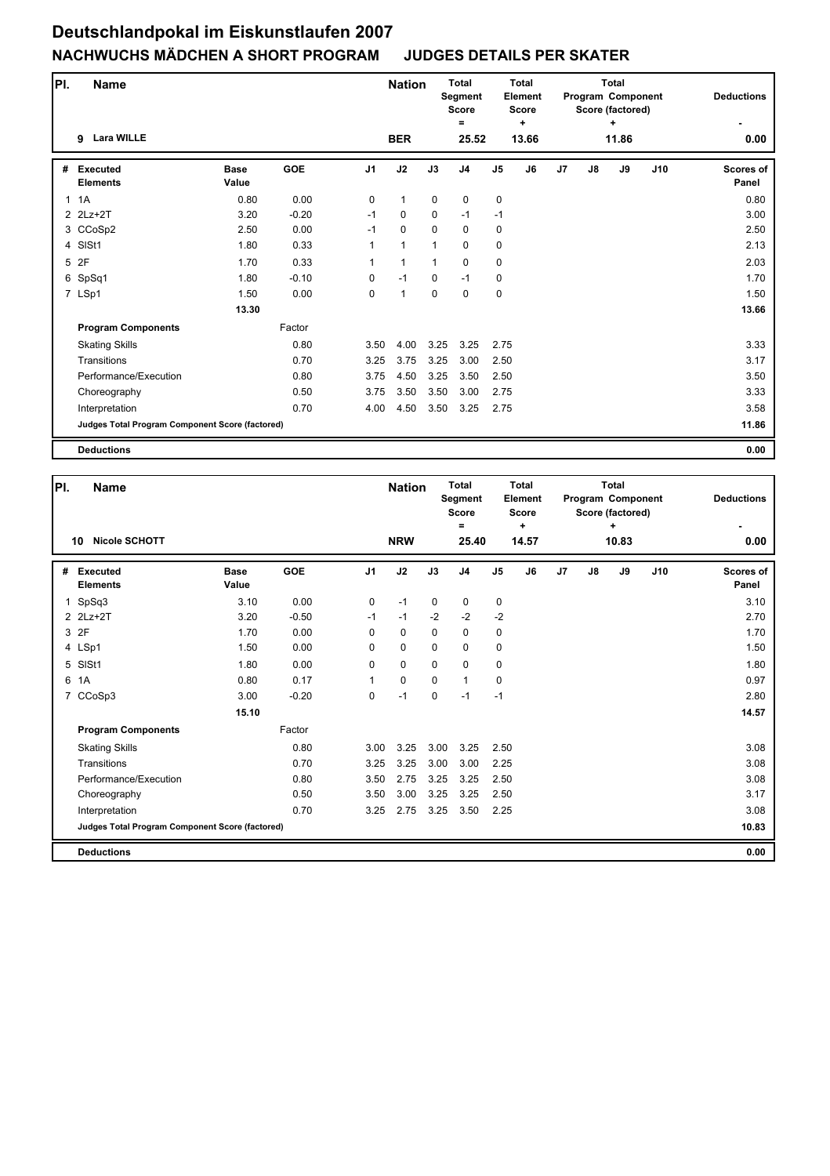| PI.            | <b>Name</b>                                     |                      |            |                | <b>Nation</b> |              | <b>Total</b><br><b>Segment</b><br><b>Score</b> |                | <b>Total</b><br><b>Element</b><br><b>Score</b> |                |    | <b>Total</b><br>Program Component<br>Score (factored) |     | <b>Deductions</b>         |
|----------------|-------------------------------------------------|----------------------|------------|----------------|---------------|--------------|------------------------------------------------|----------------|------------------------------------------------|----------------|----|-------------------------------------------------------|-----|---------------------------|
|                | <b>Lara WILLE</b><br>9                          |                      |            |                | <b>BER</b>    |              | =<br>25.52                                     |                | ÷<br>13.66                                     |                |    | ٠<br>11.86                                            |     | 0.00                      |
| #              | <b>Executed</b><br><b>Elements</b>              | <b>Base</b><br>Value | <b>GOE</b> | J <sub>1</sub> | J2            | J3           | J <sub>4</sub>                                 | J <sub>5</sub> | J6                                             | J <sub>7</sub> | J8 | J9                                                    | J10 | <b>Scores of</b><br>Panel |
|                | 1.1A                                            | 0.80                 | 0.00       | $\Omega$       | $\mathbf{1}$  | $\mathbf 0$  | $\mathbf 0$                                    | 0              |                                                |                |    |                                                       |     | 0.80                      |
|                | 2 2Lz+2T                                        | 3.20                 | $-0.20$    | $-1$           | $\mathbf 0$   | $\mathbf 0$  | $-1$                                           | $-1$           |                                                |                |    |                                                       |     | 3.00                      |
|                | 3 CCoSp2                                        | 2.50                 | 0.00       | $-1$           | $\mathbf 0$   | $\mathbf 0$  | $\mathbf 0$                                    | $\mathbf 0$    |                                                |                |    |                                                       |     | 2.50                      |
| $\overline{4}$ | SISt1                                           | 1.80                 | 0.33       |                | $\mathbf{1}$  | $\mathbf{1}$ | $\pmb{0}$                                      | 0              |                                                |                |    |                                                       |     | 2.13                      |
| 5              | 2F                                              | 1.70                 | 0.33       | 1              | 1             | $\mathbf{1}$ | $\mathbf 0$                                    | 0              |                                                |                |    |                                                       |     | 2.03                      |
|                | 6 SpSq1                                         | 1.80                 | $-0.10$    | $\mathbf 0$    | $-1$          | $\mathbf 0$  | $-1$                                           | 0              |                                                |                |    |                                                       |     | 1.70                      |
|                | 7 LSp1                                          | 1.50                 | 0.00       | $\mathbf 0$    | $\mathbf{1}$  | $\mathbf 0$  | $\mathbf 0$                                    | $\pmb{0}$      |                                                |                |    |                                                       |     | 1.50                      |
|                |                                                 | 13.30                |            |                |               |              |                                                |                |                                                |                |    |                                                       |     | 13.66                     |
|                | <b>Program Components</b>                       |                      | Factor     |                |               |              |                                                |                |                                                |                |    |                                                       |     |                           |
|                | <b>Skating Skills</b>                           |                      | 0.80       | 3.50           | 4.00          | 3.25         | 3.25                                           | 2.75           |                                                |                |    |                                                       |     | 3.33                      |
|                | Transitions                                     |                      | 0.70       | 3.25           | 3.75          | 3.25         | 3.00                                           | 2.50           |                                                |                |    |                                                       |     | 3.17                      |
|                | Performance/Execution                           |                      | 0.80       | 3.75           | 4.50          | 3.25         | 3.50                                           | 2.50           |                                                |                |    |                                                       |     | 3.50                      |
|                | Choreography                                    |                      | 0.50       | 3.75           | 3.50          | 3.50         | 3.00                                           | 2.75           |                                                |                |    |                                                       |     | 3.33                      |
|                | Interpretation                                  |                      | 0.70       | 4.00           | 4.50          | 3.50         | 3.25                                           | 2.75           |                                                |                |    |                                                       |     | 3.58                      |
|                | Judges Total Program Component Score (factored) |                      |            |                |               |              |                                                |                |                                                |                |    |                                                       |     | 11.86                     |
|                | <b>Deductions</b>                               |                      |            |                |               |              |                                                |                |                                                |                |    |                                                       |     | 0.00                      |

| PI.            | Name                                            |                      |            |                | <b>Nation</b> |             | <b>Total</b><br>Segment<br><b>Score</b><br>Ξ |                | Total<br>Element<br><b>Score</b><br>÷ |                |    | Total<br>Program Component<br>Score (factored)<br>÷ |     | <b>Deductions</b>         |
|----------------|-------------------------------------------------|----------------------|------------|----------------|---------------|-------------|----------------------------------------------|----------------|---------------------------------------|----------------|----|-----------------------------------------------------|-----|---------------------------|
|                | <b>Nicole SCHOTT</b><br>10                      |                      |            |                | <b>NRW</b>    |             | 25.40                                        |                | 14.57                                 |                |    | 10.83                                               |     | 0.00                      |
| #              | <b>Executed</b><br><b>Elements</b>              | <b>Base</b><br>Value | <b>GOE</b> | J <sub>1</sub> | J2            | J3          | J <sub>4</sub>                               | J <sub>5</sub> | J6                                    | J <sub>7</sub> | J8 | J9                                                  | J10 | <b>Scores of</b><br>Panel |
| $\mathbf{1}$   | SpSq3                                           | 3.10                 | 0.00       | $\mathbf 0$    | $-1$          | $\mathbf 0$ | 0                                            | 0              |                                       |                |    |                                                     |     | 3.10                      |
|                | 2 2Lz+2T                                        | 3.20                 | $-0.50$    | $-1$           | $-1$          | $-2$        | $-2$                                         | $-2$           |                                       |                |    |                                                     |     | 2.70                      |
|                | 3 2F                                            | 1.70                 | 0.00       | $\Omega$       | 0             | $\mathbf 0$ | 0                                            | $\mathbf 0$    |                                       |                |    |                                                     |     | 1.70                      |
|                | 4 LSp1                                          | 1.50                 | 0.00       | $\Omega$       | $\mathbf 0$   | $\Omega$    | 0                                            | 0              |                                       |                |    |                                                     |     | 1.50                      |
| 5              | SISt1                                           | 1.80                 | 0.00       | $\Omega$       | $\mathbf 0$   | $\Omega$    | $\Omega$                                     | 0              |                                       |                |    |                                                     |     | 1.80                      |
| 6              | 1A                                              | 0.80                 | 0.17       | 1              | $\mathbf 0$   | $\mathbf 0$ | $\mathbf{1}$                                 | 0              |                                       |                |    |                                                     |     | 0.97                      |
| $\overline{7}$ | CCoSp3                                          | 3.00                 | $-0.20$    | $\Omega$       | $-1$          | $\mathbf 0$ | $-1$                                         | $-1$           |                                       |                |    |                                                     |     | 2.80                      |
|                |                                                 | 15.10                |            |                |               |             |                                              |                |                                       |                |    |                                                     |     | 14.57                     |
|                | <b>Program Components</b>                       |                      | Factor     |                |               |             |                                              |                |                                       |                |    |                                                     |     |                           |
|                | <b>Skating Skills</b>                           |                      | 0.80       | 3.00           | 3.25          | 3.00        | 3.25                                         | 2.50           |                                       |                |    |                                                     |     | 3.08                      |
|                | Transitions                                     |                      | 0.70       | 3.25           | 3.25          | 3.00        | 3.00                                         | 2.25           |                                       |                |    |                                                     |     | 3.08                      |
|                | Performance/Execution                           |                      | 0.80       | 3.50           | 2.75          | 3.25        | 3.25                                         | 2.50           |                                       |                |    |                                                     |     | 3.08                      |
|                | Choreography                                    |                      | 0.50       | 3.50           | 3.00          | 3.25        | 3.25                                         | 2.50           |                                       |                |    |                                                     |     | 3.17                      |
|                | Interpretation                                  |                      | 0.70       | 3.25           | 2.75          | 3.25        | 3.50                                         | 2.25           |                                       |                |    |                                                     |     | 3.08                      |
|                | Judges Total Program Component Score (factored) |                      |            |                |               |             |                                              |                |                                       |                |    |                                                     |     | 10.83                     |
|                | <b>Deductions</b>                               |                      |            |                |               |             |                                              |                |                                       |                |    |                                                     |     | 0.00                      |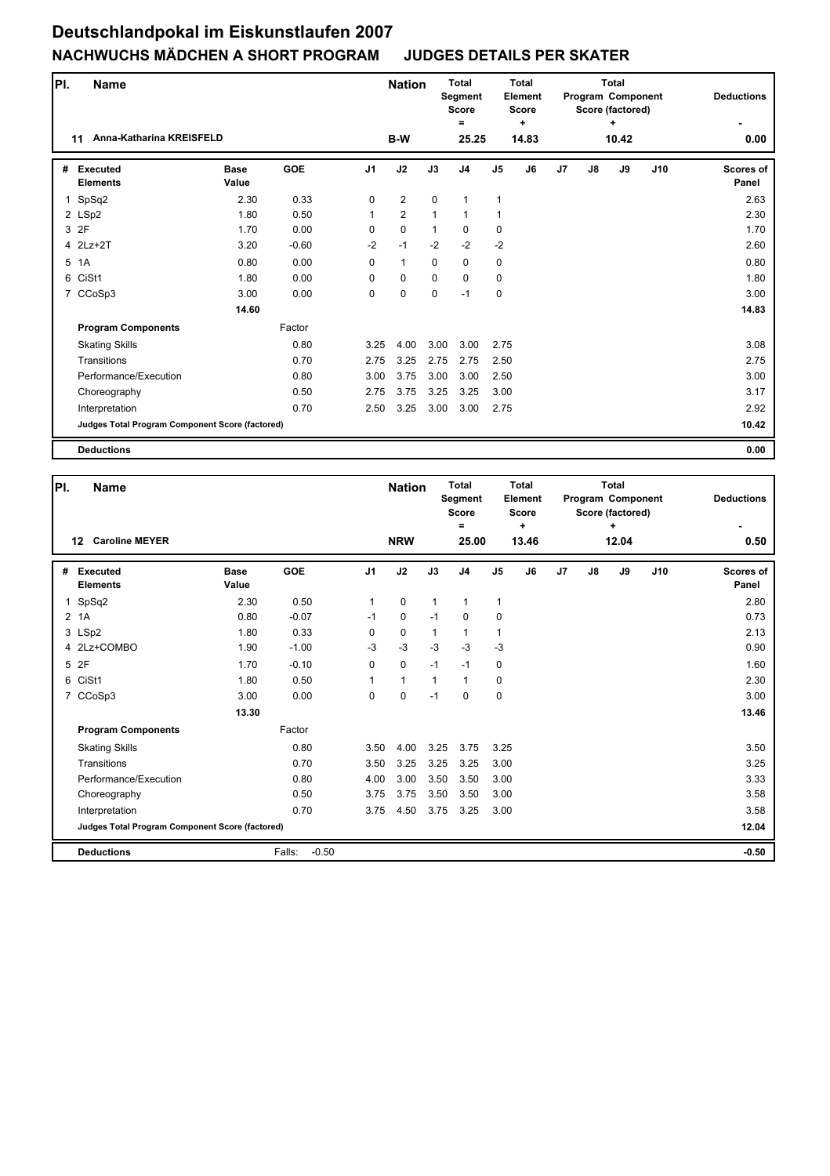| PI.          | Name                                            |                      |            |                | <b>Nation</b> |              | <b>Total</b><br>Segment<br><b>Score</b><br>Ξ |                | Total<br>Element<br><b>Score</b><br>÷ |                |               | <b>Total</b><br>Program Component<br>Score (factored)<br>+ |     | <b>Deductions</b>  |
|--------------|-------------------------------------------------|----------------------|------------|----------------|---------------|--------------|----------------------------------------------|----------------|---------------------------------------|----------------|---------------|------------------------------------------------------------|-----|--------------------|
|              | Anna-Katharina KREISFELD<br>11                  |                      |            |                | <b>B-W</b>    |              | 25.25                                        |                | 14.83                                 |                |               | 10.42                                                      |     | 0.00               |
| #            | <b>Executed</b><br><b>Elements</b>              | <b>Base</b><br>Value | <b>GOE</b> | J <sub>1</sub> | J2            | J3           | J <sub>4</sub>                               | J <sub>5</sub> | J6                                    | J <sub>7</sub> | $\mathsf{J}8$ | J9                                                         | J10 | Scores of<br>Panel |
| $\mathbf{1}$ | SpSq2                                           | 2.30                 | 0.33       | $\Omega$       | 2             | $\Omega$     | $\mathbf{1}$                                 | 1              |                                       |                |               |                                                            |     | 2.63               |
|              | 2 LSp2                                          | 1.80                 | 0.50       | $\mathbf{1}$   | 2             | 1            | $\mathbf{1}$                                 | 1              |                                       |                |               |                                                            |     | 2.30               |
|              | 3 2F                                            | 1.70                 | 0.00       | 0              | $\mathbf 0$   | $\mathbf{1}$ | $\mathbf 0$                                  | 0              |                                       |                |               |                                                            |     | 1.70               |
|              | 4 2Lz+2T                                        | 3.20                 | $-0.60$    | $-2$           | $-1$          | $-2$         | $-2$                                         | $-2$           |                                       |                |               |                                                            |     | 2.60               |
| 5            | 1A                                              | 0.80                 | 0.00       | $\Omega$       | $\mathbf{1}$  | $\mathbf 0$  | 0                                            | 0              |                                       |                |               |                                                            |     | 0.80               |
| 6            | CiSt1                                           | 1.80                 | 0.00       | 0              | $\mathbf 0$   | $\mathbf 0$  | $\mathbf 0$                                  | 0              |                                       |                |               |                                                            |     | 1.80               |
|              | 7 CCoSp3                                        | 3.00                 | 0.00       | 0              | 0             | 0            | $-1$                                         | 0              |                                       |                |               |                                                            |     | 3.00               |
|              |                                                 | 14.60                |            |                |               |              |                                              |                |                                       |                |               |                                                            |     | 14.83              |
|              | <b>Program Components</b>                       |                      | Factor     |                |               |              |                                              |                |                                       |                |               |                                                            |     |                    |
|              | <b>Skating Skills</b>                           |                      | 0.80       | 3.25           | 4.00          | 3.00         | 3.00                                         | 2.75           |                                       |                |               |                                                            |     | 3.08               |
|              | Transitions                                     |                      | 0.70       | 2.75           | 3.25          | 2.75         | 2.75                                         | 2.50           |                                       |                |               |                                                            |     | 2.75               |
|              | Performance/Execution                           |                      | 0.80       | 3.00           | 3.75          | 3.00         | 3.00                                         | 2.50           |                                       |                |               |                                                            |     | 3.00               |
|              | Choreography                                    |                      | 0.50       | 2.75           | 3.75          | 3.25         | 3.25                                         | 3.00           |                                       |                |               |                                                            |     | 3.17               |
|              | Interpretation                                  |                      | 0.70       | 2.50           | 3.25          | 3.00         | 3.00                                         | 2.75           |                                       |                |               |                                                            |     | 2.92               |
|              | Judges Total Program Component Score (factored) |                      |            |                |               |              |                                              |                |                                       |                |               |                                                            |     | 10.42              |
|              | <b>Deductions</b>                               |                      |            |                |               |              |                                              |                |                                       |                |               |                                                            |     | 0.00               |

| PI.            | <b>Name</b>                                     |                      |                   |                | <b>Nation</b> |              | <b>Total</b><br>Segment<br><b>Score</b><br>$=$ |                | <b>Total</b><br><b>Element</b><br><b>Score</b><br>÷ |                |    | Total<br>Program Component<br>Score (factored)<br>٠ |     | <b>Deductions</b>         |
|----------------|-------------------------------------------------|----------------------|-------------------|----------------|---------------|--------------|------------------------------------------------|----------------|-----------------------------------------------------|----------------|----|-----------------------------------------------------|-----|---------------------------|
|                | <b>Caroline MEYER</b><br>12                     |                      |                   |                | <b>NRW</b>    |              | 25.00                                          |                | 13.46                                               |                |    | 12.04                                               |     | 0.50                      |
| #              | <b>Executed</b><br><b>Elements</b>              | <b>Base</b><br>Value | <b>GOE</b>        | J <sub>1</sub> | J2            | J3           | J <sub>4</sub>                                 | J <sub>5</sub> | J6                                                  | J <sub>7</sub> | J8 | J9                                                  | J10 | <b>Scores of</b><br>Panel |
| 1              | SpSq2                                           | 2.30                 | 0.50              | 1              | $\mathbf 0$   | $\mathbf{1}$ | 1                                              | $\mathbf{1}$   |                                                     |                |    |                                                     |     | 2.80                      |
| $\overline{2}$ | 1A                                              | 0.80                 | $-0.07$           | $-1$           | $\mathbf 0$   | $-1$         | 0                                              | 0              |                                                     |                |    |                                                     |     | 0.73                      |
|                | 3 LSp2                                          | 1.80                 | 0.33              | 0              | 0             | $\mathbf 1$  | 1                                              | $\mathbf{1}$   |                                                     |                |    |                                                     |     | 2.13                      |
|                | 4 2Lz+COMBO                                     | 1.90                 | $-1.00$           | $-3$           | $-3$          | $-3$         | $-3$                                           | $-3$           |                                                     |                |    |                                                     |     | 0.90                      |
|                | 5 2F                                            | 1.70                 | $-0.10$           | 0              | $\mathbf 0$   | $-1$         | $-1$                                           | 0              |                                                     |                |    |                                                     |     | 1.60                      |
| 6              | CiSt1                                           | 1.80                 | 0.50              | 1              | $\mathbf{1}$  | $\mathbf{1}$ | 1                                              | 0              |                                                     |                |    |                                                     |     | 2.30                      |
| $\overline{7}$ | CCoSp3                                          | 3.00                 | 0.00              | 0              | $\mathbf 0$   | $-1$         | $\Omega$                                       | $\mathbf 0$    |                                                     |                |    |                                                     |     | 3.00                      |
|                |                                                 | 13.30                |                   |                |               |              |                                                |                |                                                     |                |    |                                                     |     | 13.46                     |
|                | <b>Program Components</b>                       |                      | Factor            |                |               |              |                                                |                |                                                     |                |    |                                                     |     |                           |
|                | <b>Skating Skills</b>                           |                      | 0.80              | 3.50           | 4.00          | 3.25         | 3.75                                           | 3.25           |                                                     |                |    |                                                     |     | 3.50                      |
|                | Transitions                                     |                      | 0.70              | 3.50           | 3.25          | 3.25         | 3.25                                           | 3.00           |                                                     |                |    |                                                     |     | 3.25                      |
|                | Performance/Execution                           |                      | 0.80              | 4.00           | 3.00          | 3.50         | 3.50                                           | 3.00           |                                                     |                |    |                                                     |     | 3.33                      |
|                | Choreography                                    |                      | 0.50              | 3.75           | 3.75          | 3.50         | 3.50                                           | 3.00           |                                                     |                |    |                                                     |     | 3.58                      |
|                | Interpretation                                  |                      | 0.70              | 3.75           | 4.50          | 3.75         | 3.25                                           | 3.00           |                                                     |                |    |                                                     |     | 3.58                      |
|                | Judges Total Program Component Score (factored) |                      |                   |                |               |              |                                                |                |                                                     |                |    |                                                     |     | 12.04                     |
|                | <b>Deductions</b>                               |                      | $-0.50$<br>Falls: |                |               |              |                                                |                |                                                     |                |    |                                                     |     | $-0.50$                   |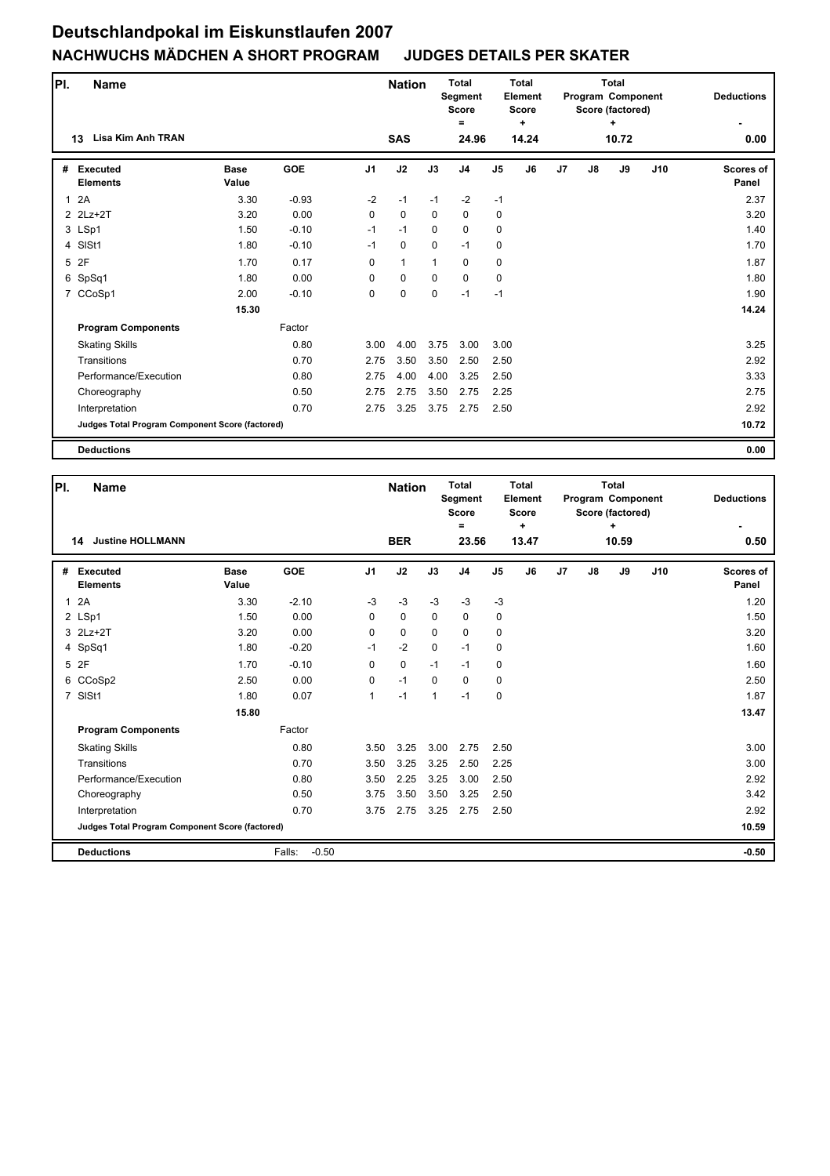| PI.          | <b>Name</b>                                     |                      |            |                | <b>Nation</b> |              | <b>Total</b><br>Segment<br><b>Score</b> | Total<br>Element<br><b>Score</b><br>÷ |       |                |    | <b>Total</b><br><b>Program Component</b><br>Score (factored) |     | <b>Deductions</b>  |  |
|--------------|-------------------------------------------------|----------------------|------------|----------------|---------------|--------------|-----------------------------------------|---------------------------------------|-------|----------------|----|--------------------------------------------------------------|-----|--------------------|--|
|              | Lisa Kim Anh TRAN<br>13                         |                      |            |                | <b>SAS</b>    |              | =<br>24.96                              |                                       | 14.24 |                |    | ٠<br>10.72                                                   |     | 0.00               |  |
| #            | <b>Executed</b><br><b>Elements</b>              | <b>Base</b><br>Value | <b>GOE</b> | J <sub>1</sub> | J2            | J3           | J <sub>4</sub>                          | J <sub>5</sub>                        | J6    | J <sub>7</sub> | J8 | J9                                                           | J10 | Scores of<br>Panel |  |
| $\mathbf{1}$ | 2A                                              | 3.30                 | $-0.93$    | $-2$           | $-1$          | $-1$         | $-2$                                    | $-1$                                  |       |                |    |                                                              |     | 2.37               |  |
|              | 2 2Lz+2T                                        | 3.20                 | 0.00       | $\mathbf 0$    | $\mathbf 0$   | $\mathbf 0$  | 0                                       | $\mathbf 0$                           |       |                |    |                                                              |     | 3.20               |  |
|              | 3 LSp1                                          | 1.50                 | $-0.10$    | $-1$           | $-1$          | 0            | $\mathbf 0$                             | $\mathbf 0$                           |       |                |    |                                                              |     | 1.40               |  |
|              | 4 SISt1                                         | 1.80                 | $-0.10$    | $-1$           | $\pmb{0}$     | $\mathbf 0$  | $-1$                                    | 0                                     |       |                |    |                                                              |     | 1.70               |  |
|              | 5 2F                                            | 1.70                 | 0.17       | 0              | $\mathbf{1}$  | $\mathbf{1}$ | $\mathbf 0$                             | 0                                     |       |                |    |                                                              |     | 1.87               |  |
|              | 6 SpSq1                                         | 1.80                 | 0.00       | 0              | $\mathbf 0$   | $\mathbf 0$  | $\mathbf 0$                             | 0                                     |       |                |    |                                                              |     | 1.80               |  |
|              | 7 CCoSp1                                        | 2.00                 | $-0.10$    | 0              | $\pmb{0}$     | 0            | $-1$                                    | $-1$                                  |       |                |    |                                                              |     | 1.90               |  |
|              |                                                 | 15.30                |            |                |               |              |                                         |                                       |       |                |    |                                                              |     | 14.24              |  |
|              | <b>Program Components</b>                       |                      | Factor     |                |               |              |                                         |                                       |       |                |    |                                                              |     |                    |  |
|              | <b>Skating Skills</b>                           |                      | 0.80       | 3.00           | 4.00          | 3.75         | 3.00                                    | 3.00                                  |       |                |    |                                                              |     | 3.25               |  |
|              | Transitions                                     |                      | 0.70       | 2.75           | 3.50          | 3.50         | 2.50                                    | 2.50                                  |       |                |    |                                                              |     | 2.92               |  |
|              | Performance/Execution                           |                      | 0.80       | 2.75           | 4.00          | 4.00         | 3.25                                    | 2.50                                  |       |                |    |                                                              |     | 3.33               |  |
|              | Choreography                                    |                      | 0.50       | 2.75           | 2.75          | 3.50         | 2.75                                    | 2.25                                  |       |                |    |                                                              |     | 2.75               |  |
|              | Interpretation                                  |                      | 0.70       | 2.75           | 3.25          | 3.75         | 2.75                                    | 2.50                                  |       |                |    |                                                              |     | 2.92               |  |
|              | Judges Total Program Component Score (factored) |                      |            |                |               |              |                                         |                                       |       |                |    |                                                              |     | 10.72              |  |
|              | <b>Deductions</b>                               |                      |            |                |               |              |                                         |                                       |       |                |    |                                                              |     | 0.00               |  |

| PI.          | <b>Name</b>                                     |                      |                   |                | <b>Nation</b> |              | <b>Total</b><br>Segment<br><b>Score</b><br>Ξ |                | Total<br>Element<br><b>Score</b><br>$\ddot{}$ |                |    | Total<br>Program Component<br>Score (factored)<br>÷ |     | <b>Deductions</b>         |
|--------------|-------------------------------------------------|----------------------|-------------------|----------------|---------------|--------------|----------------------------------------------|----------------|-----------------------------------------------|----------------|----|-----------------------------------------------------|-----|---------------------------|
|              | <b>Justine HOLLMANN</b><br>14                   |                      |                   |                | <b>BER</b>    |              | 23.56                                        |                | 13.47                                         |                |    | 10.59                                               |     | 0.50                      |
| #            | <b>Executed</b><br><b>Elements</b>              | <b>Base</b><br>Value | <b>GOE</b>        | J <sub>1</sub> | J2            | J3           | J <sub>4</sub>                               | J <sub>5</sub> | J6                                            | J <sub>7</sub> | J8 | J9                                                  | J10 | <b>Scores of</b><br>Panel |
| $\mathbf{1}$ | 2A                                              | 3.30                 | $-2.10$           | $-3$           | $-3$          | $-3$         | $-3$                                         | $-3$           |                                               |                |    |                                                     |     | 1.20                      |
|              | 2 LSp1                                          | 1.50                 | 0.00              | 0              | 0             | $\mathbf 0$  | $\mathbf 0$                                  | 0              |                                               |                |    |                                                     |     | 1.50                      |
|              | 3 2Lz+2T                                        | 3.20                 | 0.00              | 0              | $\mathbf 0$   | $\Omega$     | $\mathbf 0$                                  | $\mathbf 0$    |                                               |                |    |                                                     |     | 3.20                      |
|              | 4 SpSq1                                         | 1.80                 | $-0.20$           | $-1$           | $-2$          | $\mathbf 0$  | $-1$                                         | $\mathbf 0$    |                                               |                |    |                                                     |     | 1.60                      |
|              | 5 2F                                            | 1.70                 | $-0.10$           | $\Omega$       | $\mathbf 0$   | $-1$         | $-1$                                         | 0              |                                               |                |    |                                                     |     | 1.60                      |
|              | 6 CCoSp2                                        | 2.50                 | 0.00              | 0              | $-1$          | $\Omega$     | $\Omega$                                     | $\mathbf 0$    |                                               |                |    |                                                     |     | 2.50                      |
|              | 7 SISt1                                         | 1.80                 | 0.07              | $\mathbf{1}$   | $-1$          | $\mathbf{1}$ | $-1$                                         | $\mathbf 0$    |                                               |                |    |                                                     |     | 1.87                      |
|              |                                                 | 15.80                |                   |                |               |              |                                              |                |                                               |                |    |                                                     |     | 13.47                     |
|              | <b>Program Components</b>                       |                      | Factor            |                |               |              |                                              |                |                                               |                |    |                                                     |     |                           |
|              | <b>Skating Skills</b>                           |                      | 0.80              | 3.50           | 3.25          | 3.00         | 2.75                                         | 2.50           |                                               |                |    |                                                     |     | 3.00                      |
|              | Transitions                                     |                      | 0.70              | 3.50           | 3.25          | 3.25         | 2.50                                         | 2.25           |                                               |                |    |                                                     |     | 3.00                      |
|              | Performance/Execution                           |                      | 0.80              | 3.50           | 2.25          | 3.25         | 3.00                                         | 2.50           |                                               |                |    |                                                     |     | 2.92                      |
|              | Choreography                                    |                      | 0.50              | 3.75           | 3.50          | 3.50         | 3.25                                         | 2.50           |                                               |                |    |                                                     |     | 3.42                      |
|              | Interpretation                                  |                      | 0.70              | 3.75           | 2.75          | 3.25         | 2.75                                         | 2.50           |                                               |                |    |                                                     |     | 2.92                      |
|              | Judges Total Program Component Score (factored) |                      |                   |                |               |              |                                              |                |                                               |                |    |                                                     |     | 10.59                     |
|              | <b>Deductions</b>                               |                      | $-0.50$<br>Falls: |                |               |              |                                              |                |                                               |                |    |                                                     |     | $-0.50$                   |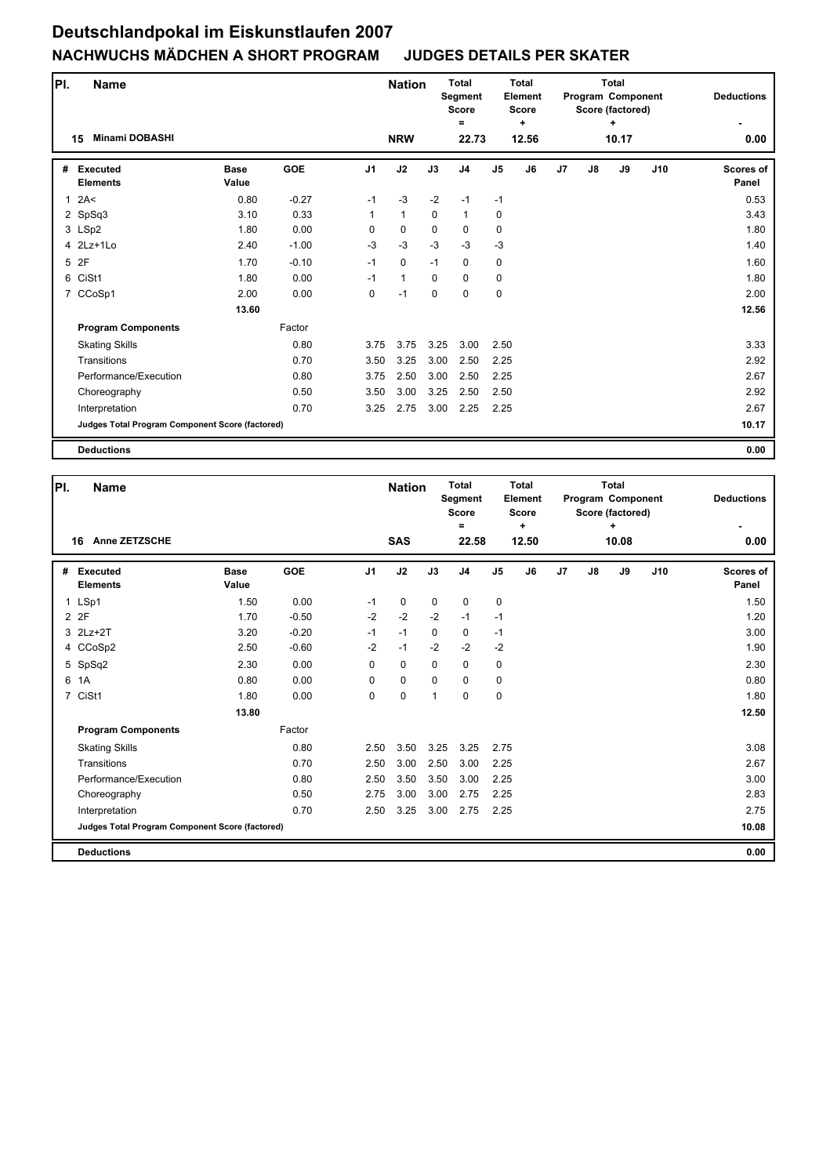| PI.          | <b>Name</b>                                     |                      |            |                | <b>Nation</b> |             | <b>Total</b><br><b>Segment</b><br><b>Score</b> |                | <b>Total</b><br><b>Element</b><br><b>Score</b> |                |    | <b>Total</b><br>Program Component<br>Score (factored) |     | <b>Deductions</b>         |
|--------------|-------------------------------------------------|----------------------|------------|----------------|---------------|-------------|------------------------------------------------|----------------|------------------------------------------------|----------------|----|-------------------------------------------------------|-----|---------------------------|
|              | <b>Minami DOBASHI</b><br>15                     |                      |            |                | <b>NRW</b>    |             | =<br>22.73                                     |                | ÷<br>12.56                                     |                |    | ٠<br>10.17                                            |     | 0.00                      |
| #            | <b>Executed</b><br><b>Elements</b>              | <b>Base</b><br>Value | <b>GOE</b> | J <sub>1</sub> | J2            | J3          | J <sub>4</sub>                                 | J <sub>5</sub> | J6                                             | J <sub>7</sub> | J8 | J9                                                    | J10 | <b>Scores of</b><br>Panel |
| $\mathbf{1}$ | 2A<                                             | 0.80                 | $-0.27$    | $-1$           | $-3$          | $-2$        | $-1$                                           | $-1$           |                                                |                |    |                                                       |     | 0.53                      |
|              | 2 SpSq3                                         | 3.10                 | 0.33       | $\mathbf{1}$   | $\mathbf{1}$  | $\mathbf 0$ | $\mathbf{1}$                                   | 0              |                                                |                |    |                                                       |     | 3.43                      |
|              | 3 LSp2                                          | 1.80                 | 0.00       | 0              | $\mathbf 0$   | $\mathbf 0$ | $\mathbf 0$                                    | $\mathbf 0$    |                                                |                |    |                                                       |     | 1.80                      |
|              | 4 2Lz+1Lo                                       | 2.40                 | $-1.00$    | $-3$           | $-3$          | $-3$        | $-3$                                           | $-3$           |                                                |                |    |                                                       |     | 1.40                      |
| 5            | 2F                                              | 1.70                 | $-0.10$    | $-1$           | $\mathbf 0$   | $-1$        | 0                                              | 0              |                                                |                |    |                                                       |     | 1.60                      |
|              | 6 CiSt1                                         | 1.80                 | 0.00       | $-1$           | $\mathbf{1}$  | $\mathbf 0$ | $\mathbf 0$                                    | 0              |                                                |                |    |                                                       |     | 1.80                      |
|              | 7 CCoSp1                                        | 2.00                 | 0.00       | $\mathbf 0$    | $-1$          | $\mathbf 0$ | $\mathbf 0$                                    | $\pmb{0}$      |                                                |                |    |                                                       |     | 2.00                      |
|              |                                                 | 13.60                |            |                |               |             |                                                |                |                                                |                |    |                                                       |     | 12.56                     |
|              | <b>Program Components</b>                       |                      | Factor     |                |               |             |                                                |                |                                                |                |    |                                                       |     |                           |
|              | <b>Skating Skills</b>                           |                      | 0.80       | 3.75           | 3.75          | 3.25        | 3.00                                           | 2.50           |                                                |                |    |                                                       |     | 3.33                      |
|              | Transitions                                     |                      | 0.70       | 3.50           | 3.25          | 3.00        | 2.50                                           | 2.25           |                                                |                |    |                                                       |     | 2.92                      |
|              | Performance/Execution                           |                      | 0.80       | 3.75           | 2.50          | 3.00        | 2.50                                           | 2.25           |                                                |                |    |                                                       |     | 2.67                      |
|              | Choreography                                    |                      | 0.50       | 3.50           | 3.00          | 3.25        | 2.50                                           | 2.50           |                                                |                |    |                                                       |     | 2.92                      |
|              | Interpretation                                  |                      | 0.70       | 3.25           | 2.75          | 3.00        | 2.25                                           | 2.25           |                                                |                |    |                                                       |     | 2.67                      |
|              | Judges Total Program Component Score (factored) |                      |            |                |               |             |                                                |                |                                                |                |    |                                                       |     | 10.17                     |
|              | <b>Deductions</b>                               |                      |            |                |               |             |                                                |                |                                                |                |    |                                                       |     | 0.00                      |

| PI.            | Name                                            |                      |            |                | <b>Nation</b> |              | <b>Total</b><br>Segment<br><b>Score</b> |                | Total<br>Element<br><b>Score</b> |                |    | Total<br>Program Component<br>Score (factored) |     | <b>Deductions</b>         |
|----------------|-------------------------------------------------|----------------------|------------|----------------|---------------|--------------|-----------------------------------------|----------------|----------------------------------|----------------|----|------------------------------------------------|-----|---------------------------|
|                | Anne ZETZSCHE<br>16                             |                      |            |                | <b>SAS</b>    |              | Ξ<br>22.58                              |                | ÷<br>12.50                       |                |    | ٠<br>10.08                                     |     | 0.00                      |
| #              | <b>Executed</b><br><b>Elements</b>              | <b>Base</b><br>Value | <b>GOE</b> | J <sub>1</sub> | J2            | J3           | J <sub>4</sub>                          | J <sub>5</sub> | J6                               | J <sub>7</sub> | J8 | J9                                             | J10 | <b>Scores of</b><br>Panel |
| $\mathbf{1}$   | LSp1                                            | 1.50                 | 0.00       | $-1$           | 0             | $\mathbf 0$  | $\mathbf 0$                             | 0              |                                  |                |    |                                                |     | 1.50                      |
|                | 2 2F                                            | 1.70                 | $-0.50$    | $-2$           | $-2$          | $-2$         | $-1$                                    | $-1$           |                                  |                |    |                                                |     | 1.20                      |
|                | 3 2Lz+2T                                        | 3.20                 | $-0.20$    | $-1$           | $-1$          | $\Omega$     | $\mathbf 0$                             | $-1$           |                                  |                |    |                                                |     | 3.00                      |
|                | 4 CCoSp2                                        | 2.50                 | $-0.60$    | $-2$           | $-1$          | $-2$         | $-2$                                    | $-2$           |                                  |                |    |                                                |     | 1.90                      |
|                | 5 SpSq2                                         | 2.30                 | 0.00       | $\Omega$       | $\mathbf 0$   | $\mathbf 0$  | $\mathbf 0$                             | $\mathbf 0$    |                                  |                |    |                                                |     | 2.30                      |
| 6              | 1A                                              | 0.80                 | 0.00       | 0              | $\mathbf 0$   | $\mathbf 0$  | $\mathbf 0$                             | $\mathbf 0$    |                                  |                |    |                                                |     | 0.80                      |
| $\overline{7}$ | CiSt1                                           | 1.80                 | 0.00       | $\Omega$       | 0             | $\mathbf{1}$ | $\Omega$                                | $\mathbf 0$    |                                  |                |    |                                                |     | 1.80                      |
|                |                                                 | 13.80                |            |                |               |              |                                         |                |                                  |                |    |                                                |     | 12.50                     |
|                | <b>Program Components</b>                       |                      | Factor     |                |               |              |                                         |                |                                  |                |    |                                                |     |                           |
|                | <b>Skating Skills</b>                           |                      | 0.80       | 2.50           | 3.50          | 3.25         | 3.25                                    | 2.75           |                                  |                |    |                                                |     | 3.08                      |
|                | Transitions                                     |                      | 0.70       | 2.50           | 3.00          | 2.50         | 3.00                                    | 2.25           |                                  |                |    |                                                |     | 2.67                      |
|                | Performance/Execution                           |                      | 0.80       | 2.50           | 3.50          | 3.50         | 3.00                                    | 2.25           |                                  |                |    |                                                |     | 3.00                      |
|                | Choreography                                    |                      | 0.50       | 2.75           | 3.00          | 3.00         | 2.75                                    | 2.25           |                                  |                |    |                                                |     | 2.83                      |
|                | Interpretation                                  |                      | 0.70       | 2.50           | 3.25          | 3.00         | 2.75                                    | 2.25           |                                  |                |    |                                                |     | 2.75                      |
|                | Judges Total Program Component Score (factored) |                      |            |                |               |              |                                         |                |                                  |                |    |                                                |     | 10.08                     |
|                | <b>Deductions</b>                               |                      |            |                |               |              |                                         |                |                                  |                |    |                                                |     | 0.00                      |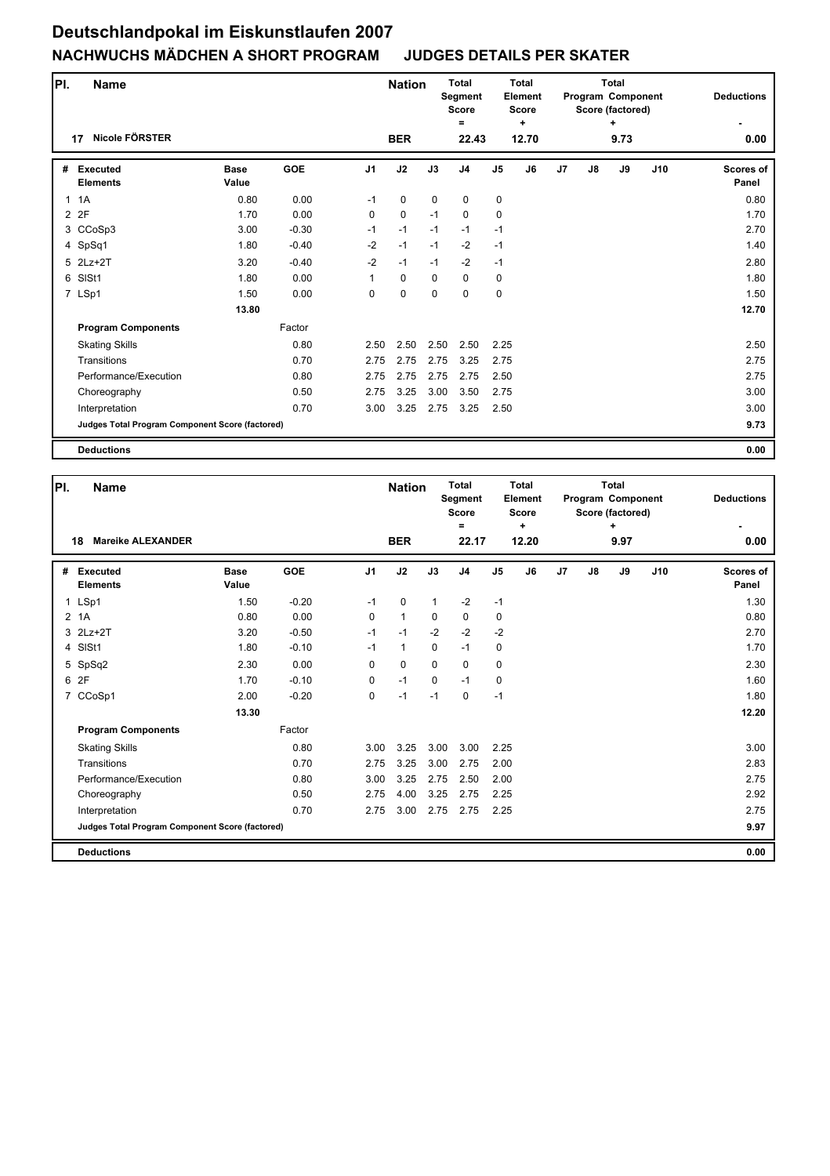| PI.          | <b>Name</b>                                     |                      |            |                | <b>Nation</b> |             | <b>Total</b><br>Segment<br><b>Score</b><br>Ξ |                | <b>Total</b><br><b>Element</b><br><b>Score</b><br>÷ |                |    | <b>Total</b><br>Program Component<br>Score (factored)<br>÷ |     | <b>Deductions</b>         |
|--------------|-------------------------------------------------|----------------------|------------|----------------|---------------|-------------|----------------------------------------------|----------------|-----------------------------------------------------|----------------|----|------------------------------------------------------------|-----|---------------------------|
|              | Nicole FÖRSTER<br>17                            |                      |            |                | <b>BER</b>    |             | 22.43                                        |                | 12.70                                               |                |    | 9.73                                                       |     | 0.00                      |
| #            | <b>Executed</b><br><b>Elements</b>              | <b>Base</b><br>Value | <b>GOE</b> | J <sub>1</sub> | J2            | J3          | J <sub>4</sub>                               | J <sub>5</sub> | J6                                                  | J <sub>7</sub> | J8 | J9                                                         | J10 | <b>Scores of</b><br>Panel |
| $\mathbf{1}$ | 1A                                              | 0.80                 | 0.00       | $-1$           | $\mathbf 0$   | $\mathbf 0$ | 0                                            | $\mathbf 0$    |                                                     |                |    |                                                            |     | 0.80                      |
| 2            | 2F                                              | 1.70                 | 0.00       | 0              | $\mathbf 0$   | $-1$        | 0                                            | $\mathbf 0$    |                                                     |                |    |                                                            |     | 1.70                      |
|              | 3 CCoSp3                                        | 3.00                 | $-0.30$    | $-1$           | $-1$          | $-1$        | $-1$                                         | $-1$           |                                                     |                |    |                                                            |     | 2.70                      |
|              | 4 SpSq1                                         | 1.80                 | $-0.40$    | $-2$           | $-1$          | $-1$        | $-2$                                         | $-1$           |                                                     |                |    |                                                            |     | 1.40                      |
|              | 5 2Lz+2T                                        | 3.20                 | $-0.40$    | $-2$           | $-1$          | $-1$        | $-2$                                         | $-1$           |                                                     |                |    |                                                            |     | 2.80                      |
|              | 6 SISt1                                         | 1.80                 | 0.00       | 1              | $\mathbf 0$   | $\mathbf 0$ | $\mathbf 0$                                  | 0              |                                                     |                |    |                                                            |     | 1.80                      |
|              | 7 LSp1                                          | 1.50                 | 0.00       | 0              | $\mathbf 0$   | $\mathbf 0$ | 0                                            | $\mathbf 0$    |                                                     |                |    |                                                            |     | 1.50                      |
|              |                                                 | 13.80                |            |                |               |             |                                              |                |                                                     |                |    |                                                            |     | 12.70                     |
|              | <b>Program Components</b>                       |                      | Factor     |                |               |             |                                              |                |                                                     |                |    |                                                            |     |                           |
|              | <b>Skating Skills</b>                           |                      | 0.80       | 2.50           | 2.50          | 2.50        | 2.50                                         | 2.25           |                                                     |                |    |                                                            |     | 2.50                      |
|              | Transitions                                     |                      | 0.70       | 2.75           | 2.75          | 2.75        | 3.25                                         | 2.75           |                                                     |                |    |                                                            |     | 2.75                      |
|              | Performance/Execution                           |                      | 0.80       | 2.75           | 2.75          | 2.75        | 2.75                                         | 2.50           |                                                     |                |    |                                                            |     | 2.75                      |
|              | Choreography                                    |                      | 0.50       | 2.75           | 3.25          | 3.00        | 3.50                                         | 2.75           |                                                     |                |    |                                                            |     | 3.00                      |
|              | Interpretation                                  |                      | 0.70       | 3.00           | 3.25          | 2.75        | 3.25                                         | 2.50           |                                                     |                |    |                                                            |     | 3.00                      |
|              | Judges Total Program Component Score (factored) |                      |            |                |               |             |                                              |                |                                                     |                |    |                                                            |     | 9.73                      |
|              | <b>Deductions</b>                               |                      |            |                |               |             |                                              |                |                                                     |                |    |                                                            |     | 0.00                      |

| PI.            | <b>Name</b>                                     |                      |            |                | <b>Nation</b> |              | <b>Total</b><br>Segment<br><b>Score</b><br>$=$ |                | Total<br>Element<br><b>Score</b><br>÷ |                |    | Total<br>Program Component<br>Score (factored)<br>٠ |     | <b>Deductions</b>         |
|----------------|-------------------------------------------------|----------------------|------------|----------------|---------------|--------------|------------------------------------------------|----------------|---------------------------------------|----------------|----|-----------------------------------------------------|-----|---------------------------|
|                | <b>Mareike ALEXANDER</b><br>18                  |                      |            |                | <b>BER</b>    |              | 22.17                                          |                | 12.20                                 |                |    | 9.97                                                |     | 0.00                      |
| #              | <b>Executed</b><br><b>Elements</b>              | <b>Base</b><br>Value | <b>GOE</b> | J <sub>1</sub> | J2            | J3           | J <sub>4</sub>                                 | J <sub>5</sub> | J6                                    | J <sub>7</sub> | J8 | J9                                                  | J10 | <b>Scores of</b><br>Panel |
| $\mathbf{1}$   | LSp1                                            | 1.50                 | $-0.20$    | $-1$           | $\mathbf 0$   | $\mathbf{1}$ | $-2$                                           | $-1$           |                                       |                |    |                                                     |     | 1.30                      |
|                | 2 <sub>1</sub> A                                | 0.80                 | 0.00       | 0              | $\mathbf{1}$  | $\mathbf 0$  | 0                                              | 0              |                                       |                |    |                                                     |     | 0.80                      |
|                | 3 2Lz+2T                                        | 3.20                 | $-0.50$    | $-1$           | $-1$          | $-2$         | $-2$                                           | $-2$           |                                       |                |    |                                                     |     | 2.70                      |
|                | 4 SISt1                                         | 1.80                 | $-0.10$    | $-1$           | $\mathbf{1}$  | 0            | $-1$                                           | 0              |                                       |                |    |                                                     |     | 1.70                      |
|                | 5 SpSq2                                         | 2.30                 | 0.00       | $\Omega$       | $\mathbf 0$   | $\Omega$     | $\Omega$                                       | 0              |                                       |                |    |                                                     |     | 2.30                      |
| 6              | 2F                                              | 1.70                 | $-0.10$    | 0              | $-1$          | $\mathbf 0$  | $-1$                                           | 0              |                                       |                |    |                                                     |     | 1.60                      |
| $\overline{7}$ | CCoSp1                                          | 2.00                 | $-0.20$    | $\Omega$       | $-1$          | $-1$         | $\Omega$                                       | $-1$           |                                       |                |    |                                                     |     | 1.80                      |
|                |                                                 | 13.30                |            |                |               |              |                                                |                |                                       |                |    |                                                     |     | 12.20                     |
|                | <b>Program Components</b>                       |                      | Factor     |                |               |              |                                                |                |                                       |                |    |                                                     |     |                           |
|                | <b>Skating Skills</b>                           |                      | 0.80       | 3.00           | 3.25          | 3.00         | 3.00                                           | 2.25           |                                       |                |    |                                                     |     | 3.00                      |
|                | Transitions                                     |                      | 0.70       | 2.75           | 3.25          | 3.00         | 2.75                                           | 2.00           |                                       |                |    |                                                     |     | 2.83                      |
|                | Performance/Execution                           |                      | 0.80       | 3.00           | 3.25          | 2.75         | 2.50                                           | 2.00           |                                       |                |    |                                                     |     | 2.75                      |
|                | Choreography                                    |                      | 0.50       | 2.75           | 4.00          | 3.25         | 2.75                                           | 2.25           |                                       |                |    |                                                     |     | 2.92                      |
|                | Interpretation                                  |                      | 0.70       | 2.75           | 3.00          | 2.75         | 2.75                                           | 2.25           |                                       |                |    |                                                     |     | 2.75                      |
|                | Judges Total Program Component Score (factored) |                      |            |                |               |              |                                                |                |                                       |                |    |                                                     |     | 9.97                      |
|                | <b>Deductions</b>                               |                      |            |                |               |              |                                                |                |                                       |                |    |                                                     |     | 0.00                      |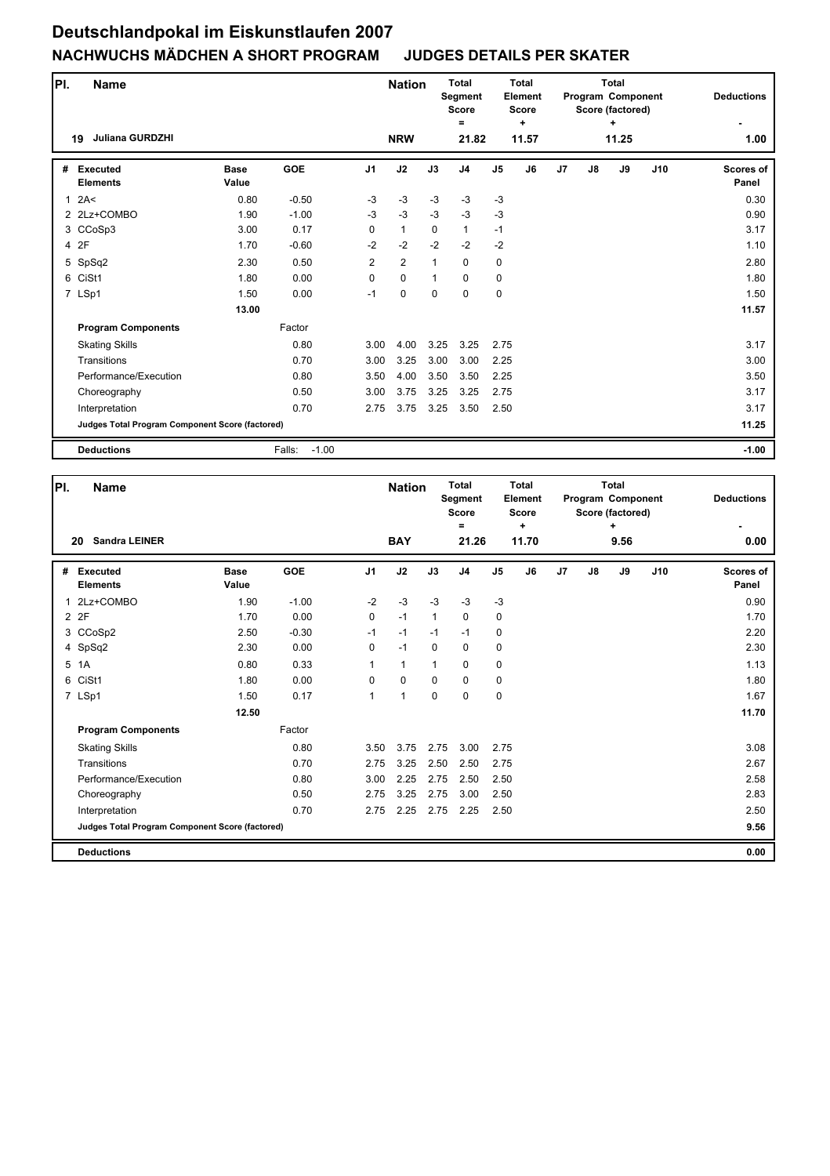| PI.          | <b>Name</b>                                     |                      |                   |                | <b>Nation</b> |              | <b>Total</b><br><b>Segment</b><br><b>Score</b><br>Ξ |                | <b>Total</b><br>Element<br><b>Score</b><br>÷ |                |               | <b>Total</b><br>Program Component<br>Score (factored)<br>$\ddot{}$ |     | <b>Deductions</b>  |
|--------------|-------------------------------------------------|----------------------|-------------------|----------------|---------------|--------------|-----------------------------------------------------|----------------|----------------------------------------------|----------------|---------------|--------------------------------------------------------------------|-----|--------------------|
|              | <b>Juliana GURDZHI</b><br>19                    |                      |                   |                | <b>NRW</b>    |              | 21.82                                               |                | 11.57                                        |                |               | 11.25                                                              |     | 1.00               |
| #            | Executed<br><b>Elements</b>                     | <b>Base</b><br>Value | <b>GOE</b>        | J <sub>1</sub> | J2            | J3           | J <sub>4</sub>                                      | J <sub>5</sub> | J6                                           | J <sub>7</sub> | $\mathsf{J}8$ | J9                                                                 | J10 | Scores of<br>Panel |
| $\mathbf{1}$ | 2A<                                             | 0.80                 | $-0.50$           | $-3$           | $-3$          | $-3$         | $-3$                                                | $-3$           |                                              |                |               |                                                                    |     | 0.30               |
|              | 2 2Lz+COMBO                                     | 1.90                 | $-1.00$           | $-3$           | $-3$          | $-3$         | $-3$                                                | $-3$           |                                              |                |               |                                                                    |     | 0.90               |
|              | 3 CCoSp3                                        | 3.00                 | 0.17              | 0              | $\mathbf{1}$  | $\mathbf 0$  | $\mathbf{1}$                                        | $-1$           |                                              |                |               |                                                                    |     | 3.17               |
|              | 4 2F                                            | 1.70                 | $-0.60$           | $-2$           | $-2$          | $-2$         | $-2$                                                | $-2$           |                                              |                |               |                                                                    |     | 1.10               |
|              | 5 SpSq2                                         | 2.30                 | 0.50              | $\overline{2}$ | 2             | $\mathbf{1}$ | $\Omega$                                            | $\mathbf 0$    |                                              |                |               |                                                                    |     | 2.80               |
|              | 6 CiSt1                                         | 1.80                 | 0.00              | 0              | $\mathbf 0$   | $\mathbf{1}$ | $\Omega$                                            | 0              |                                              |                |               |                                                                    |     | 1.80               |
|              | 7 LSp1                                          | 1.50                 | 0.00              | $-1$           | $\mathbf 0$   | $\mathbf 0$  | $\Omega$                                            | $\mathbf 0$    |                                              |                |               |                                                                    |     | 1.50               |
|              |                                                 | 13.00                |                   |                |               |              |                                                     |                |                                              |                |               |                                                                    |     | 11.57              |
|              | <b>Program Components</b>                       |                      | Factor            |                |               |              |                                                     |                |                                              |                |               |                                                                    |     |                    |
|              | <b>Skating Skills</b>                           |                      | 0.80              | 3.00           | 4.00          | 3.25         | 3.25                                                | 2.75           |                                              |                |               |                                                                    |     | 3.17               |
|              | Transitions                                     |                      | 0.70              | 3.00           | 3.25          | 3.00         | 3.00                                                | 2.25           |                                              |                |               |                                                                    |     | 3.00               |
|              | Performance/Execution                           |                      | 0.80              | 3.50           | 4.00          | 3.50         | 3.50                                                | 2.25           |                                              |                |               |                                                                    |     | 3.50               |
|              | Choreography                                    |                      | 0.50              | 3.00           | 3.75          | 3.25         | 3.25                                                | 2.75           |                                              |                |               |                                                                    |     | 3.17               |
|              | Interpretation                                  |                      | 0.70              | 2.75           | 3.75          | 3.25         | 3.50                                                | 2.50           |                                              |                |               |                                                                    |     | 3.17               |
|              | Judges Total Program Component Score (factored) |                      |                   |                |               |              |                                                     |                |                                              |                |               |                                                                    |     | 11.25              |
|              | <b>Deductions</b>                               |                      | $-1.00$<br>Falls: |                |               |              |                                                     |                |                                              |                |               |                                                                    |     | $-1.00$            |

| PI. | <b>Name</b>                                     |                      |            |                | <b>Nation</b> |              | Total<br><b>Segment</b><br><b>Score</b><br>Ξ |                | Total<br>Element<br><b>Score</b><br>$\ddot{}$ |    |    | Total<br>Program Component<br>Score (factored)<br>÷ |     | <b>Deductions</b>         |
|-----|-------------------------------------------------|----------------------|------------|----------------|---------------|--------------|----------------------------------------------|----------------|-----------------------------------------------|----|----|-----------------------------------------------------|-----|---------------------------|
|     | <b>Sandra LEINER</b><br>20                      |                      |            |                | <b>BAY</b>    |              | 21.26                                        |                | 11.70                                         |    |    | 9.56                                                |     | 0.00                      |
| #   | <b>Executed</b><br><b>Elements</b>              | <b>Base</b><br>Value | <b>GOE</b> | J <sub>1</sub> | J2            | J3           | J <sub>4</sub>                               | J <sub>5</sub> | J6                                            | J7 | J8 | J9                                                  | J10 | <b>Scores of</b><br>Panel |
| 1   | 2Lz+COMBO                                       | 1.90                 | $-1.00$    | $-2$           | $-3$          | $-3$         | $-3$                                         | $-3$           |                                               |    |    |                                                     |     | 0.90                      |
|     | 2 2F                                            | 1.70                 | 0.00       | 0              | $-1$          | $\mathbf{1}$ | $\mathbf 0$                                  | 0              |                                               |    |    |                                                     |     | 1.70                      |
|     | 3 CCoSp2                                        | 2.50                 | $-0.30$    | $-1$           | $-1$          | $-1$         | $-1$                                         | 0              |                                               |    |    |                                                     |     | 2.20                      |
|     | 4 SpSq2                                         | 2.30                 | 0.00       | 0              | $-1$          | $\Omega$     | $\mathbf 0$                                  | $\mathbf 0$    |                                               |    |    |                                                     |     | 2.30                      |
|     | 5 1A                                            | 0.80                 | 0.33       | 1              | $\mathbf{1}$  | $\mathbf{1}$ | 0                                            | $\pmb{0}$      |                                               |    |    |                                                     |     | 1.13                      |
|     | 6 CiSt1                                         | 1.80                 | 0.00       | 0              | $\mathbf 0$   | $\mathbf 0$  | 0                                            | 0              |                                               |    |    |                                                     |     | 1.80                      |
|     | 7 LSp1                                          | 1.50                 | 0.17       | $\mathbf{1}$   | 1             | $\mathbf 0$  | $\Omega$                                     | $\mathbf 0$    |                                               |    |    |                                                     |     | 1.67                      |
|     |                                                 | 12.50                |            |                |               |              |                                              |                |                                               |    |    |                                                     |     | 11.70                     |
|     | <b>Program Components</b>                       |                      | Factor     |                |               |              |                                              |                |                                               |    |    |                                                     |     |                           |
|     | <b>Skating Skills</b>                           |                      | 0.80       | 3.50           | 3.75          | 2.75         | 3.00                                         | 2.75           |                                               |    |    |                                                     |     | 3.08                      |
|     | Transitions                                     |                      | 0.70       | 2.75           | 3.25          | 2.50         | 2.50                                         | 2.75           |                                               |    |    |                                                     |     | 2.67                      |
|     | Performance/Execution                           |                      | 0.80       | 3.00           | 2.25          | 2.75         | 2.50                                         | 2.50           |                                               |    |    |                                                     |     | 2.58                      |
|     | Choreography                                    |                      | 0.50       | 2.75           | 3.25          | 2.75         | 3.00                                         | 2.50           |                                               |    |    |                                                     |     | 2.83                      |
|     | Interpretation                                  |                      | 0.70       | 2.75           | 2.25          | 2.75         | 2.25                                         | 2.50           |                                               |    |    |                                                     |     | 2.50                      |
|     | Judges Total Program Component Score (factored) |                      |            |                |               |              |                                              |                |                                               |    |    |                                                     |     | 9.56                      |
|     | <b>Deductions</b>                               |                      |            |                |               |              |                                              |                |                                               |    |    |                                                     |     | 0.00                      |